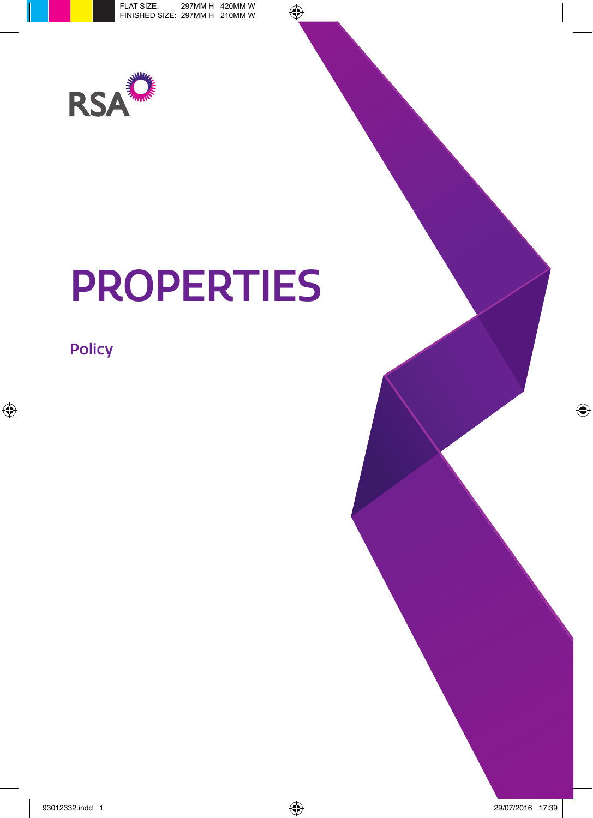

# PROPERTIES

Policy

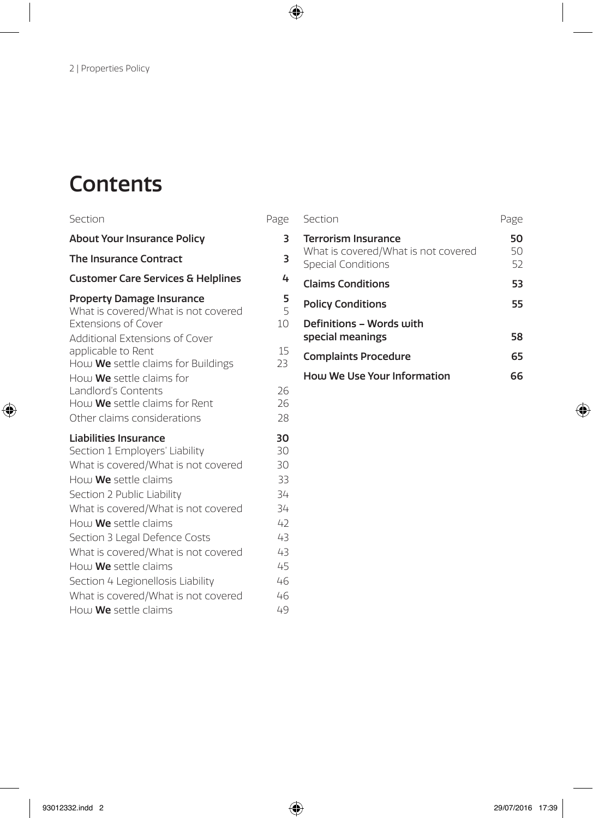# **Contents**

| Section                                                                                                                                                     | Page                       |
|-------------------------------------------------------------------------------------------------------------------------------------------------------------|----------------------------|
| <b>About Your Insurance Policy</b>                                                                                                                          | 3                          |
| The Insurance Contract                                                                                                                                      | 3                          |
| <b>Customer Care Services &amp; Helplines</b>                                                                                                               | 4                          |
| <b>Property Damage Insurance</b><br>What is covered/What is not covered<br><b>Extensions of Cover</b>                                                       | 5<br>5<br>10               |
| Additional Extensions of Cover<br>applicable to Rent<br>How We settle claims for Buildings<br>How We settle claims for                                      | 15<br>23                   |
| Landlord's Contents<br>How We settle claims for Rent<br>Other claims considerations                                                                         | 26<br>26<br>28             |
| Liabilities Insurance<br>Section 1 Employers' Liability<br>What is covered/What is not covered<br>How <b>We</b> settle claims<br>Section 2 Public Liability | 30<br>30<br>30<br>33<br>34 |
| What is covered/What is not covered<br>How We settle claims<br>Section 3 Legal Defence Costs<br>What is covered/What is not covered                         | 34<br>42<br>43<br>43       |
| How We settle claims<br>Section 4 Legionellosis Liability<br>What is covered/What is not covered                                                            | 45<br>46<br>46             |
| How <b>We</b> settle claims                                                                                                                                 | 49                         |

| Section                                                                                 | Page           |
|-----------------------------------------------------------------------------------------|----------------|
| <b>Terrorism Insurance</b><br>What is covered/What is not covered<br>Special Conditions | 50<br>50<br>52 |
| <b>Claims Conditions</b>                                                                | 53             |
| <b>Policy Conditions</b>                                                                | 55             |
| Definitions - Words with<br>special meanings                                            | 58             |
| <b>Complaints Procedure</b>                                                             | 65             |
| How We Use Your Information                                                             | 66             |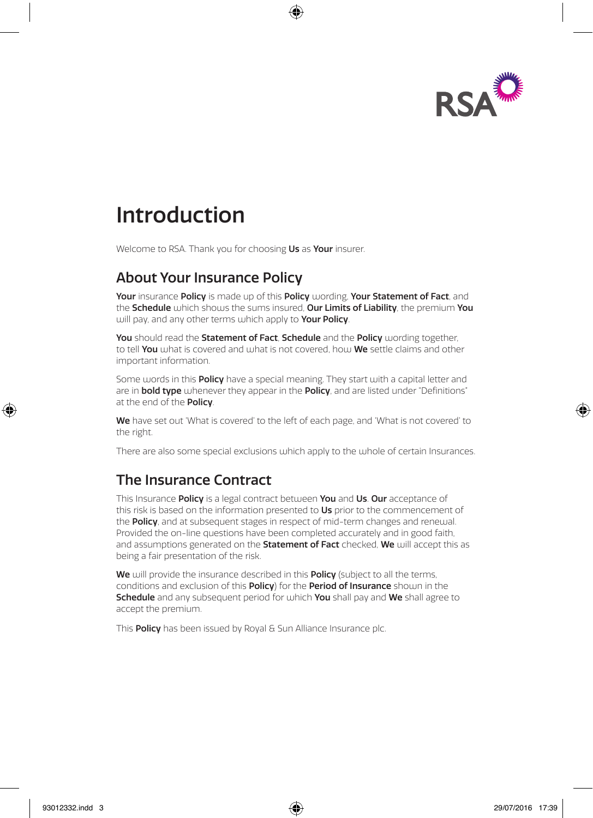

# Introduction

Welcome to RSA. Thank you for choosing Us as Your insurer.

## About Your Insurance Policy

Your insurance Policy is made up of this Policy wording. Your Statement of Fact, and the **Schedule** which shows the sums insured. Our Limits of Liability, the premium You will pay, and any other terms which apply to **Your Policy**.

You should read the Statement of Fact, Schedule and the Policy wording together, to tell You what is covered and what is not covered, how We settle claims and other important information.

Some words in this **Policy** have a special meaning. They start with a capital letter and are in **bold type** whenever they appear in the **Policy**, and are listed under "Definitions" at the end of the **Policy**.

We have set out 'What is covered' to the left of each page, and 'What is not covered' to the right.

There are also some special exclusions which apply to the whole of certain Insurances.

## The Insurance Contract

This Insurance Policy is a legal contract between You and Us. Our acceptance of this risk is based on the information presented to Us prior to the commencement of the **Policy**, and at subsequent stages in respect of mid-term changes and renewal. Provided the on-line questions have been completed accurately and in good faith, and assumptions generated on the **Statement of Fact** checked. We will accept this as being a fair presentation of the risk.

We will provide the insurance described in this **Policy** (subject to all the terms, conditions and exclusion of this Policy) for the Period of Insurance shown in the **Schedule** and any subsequent period for which **You** shall pay and **We** shall agree to accept the premium.

This **Policy** has been issued by Royal & Sun Alliance Insurance plc.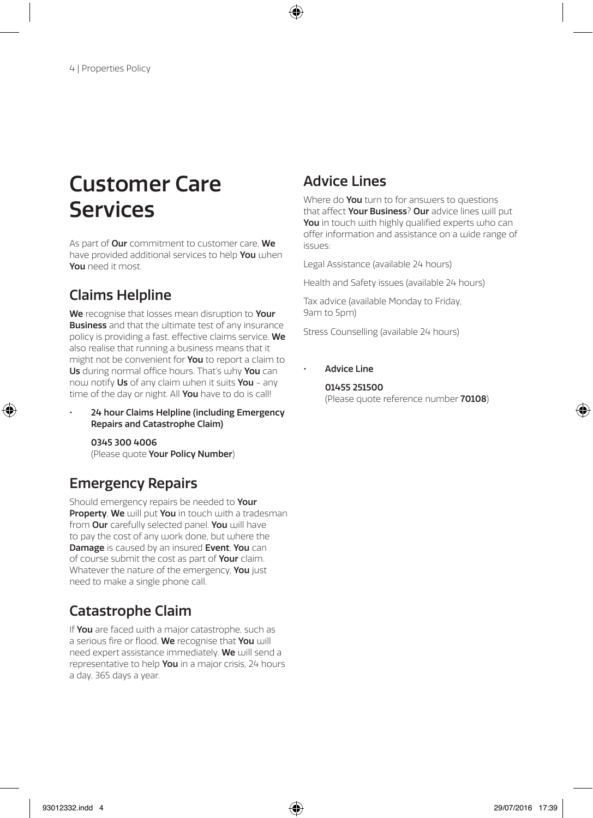# Customer Care **Services**

As part of **Our** commitment to customer care, We have provided additional services to help You when You need it most.

## Claims Helpline

We recognise that losses mean disruption to Your **Business** and that the ultimate test of any insurance policy is providing a fast, effective claims service. We also realise that running a business means that it might not be convenient for **You** to report a claim to Us during normal office hours. That's why You can now notify Us of any claim when it suits You - any time of the day or night. All You have to do is call!

• 24 hour Claims Helpline (including Emergency Repairs and Catastrophe Claim)

0345 300 4006 (Please quote Your Policy Number)

## Emergency Repairs

Should emergency repairs be needed to Your Property, We will put You in touch with a tradesman from Our carefully selected panel. You will have to pay the cost of any work done, but where the Damage is caused by an insured Event, You can of course submit the cost as part of Your claim. Whatever the nature of the emergency, You just need to make a single phone call.

## Catastrophe Claim

If You are faced with a major catastrophe, such as a serious fire or flood, We recognise that You will need expert assistance immediately. We will send a representative to help You in a major crisis, 24 hours a day, 365 days a year.

## Advice Lines

Where do **You** turn to for answers to questions that affect **Your Business? Our** advice lines will put You in touch with highly qualified experts who can offer information and assistance on a wide range of issues:

Legal Assistance (available 24 hours)

Health and Safety issues (available 24 hours)

Tax advice (available Monday to Friday, 9am to 5pm)

Stress Counselling (available 24 hours)

• Advice Line

#### 01455 251500 (Please quote reference number 70108)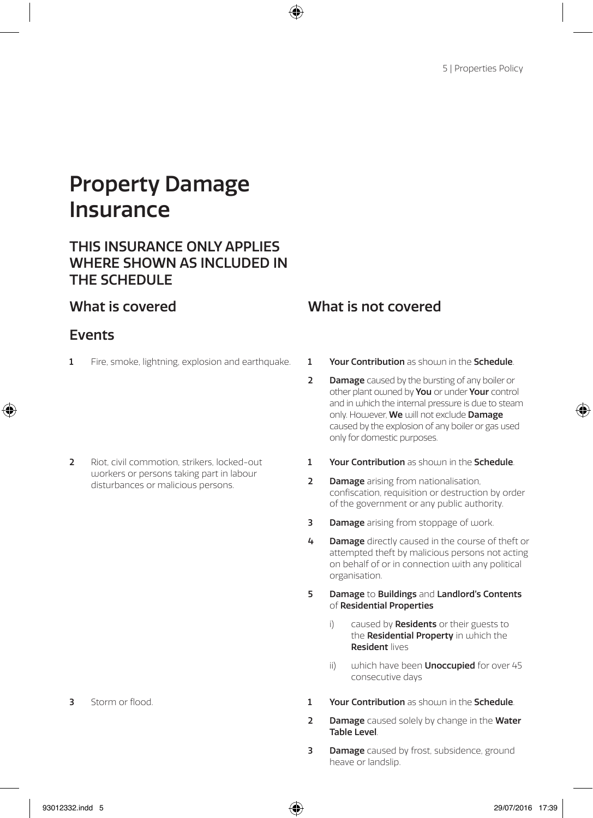# Property Damage Insurance

### THIS INSURANCE ONLY APPLIES WHERE SHOWN AS INCLUDED IN THE SCHEDULE

### Events

1 Fire, smoke, lightning, explosion and earthquake. 1 Your Contribution as shown in the Schedule.

2 Riot, civil commotion, strikers, locked-out workers or persons taking part in labour disturbances or malicious persons.

- 
- 2 Damage caused by the bursting of any boiler or other plant owned by **You** or under **Your** control and in which the internal pressure is due to steam only. Housever, We will not exclude Damage caused by the explosion of any boiler or gas used only for domestic purposes.
- 1 Your Contribution as should in the Schedule.
- 2 Damage arising from nationalisation, confiscation, requisition or destruction by order of the government or any public authority.
- **3** Damage arising from stoppage of work.
- 4 Damage directly caused in the course of theft or attempted theft by malicious persons not acting on behalf of or in connection with any political organisation.
- 5 Damage to Buildings and Landlord's Contents of Residential Properties
	- i) caused by **Residents** or their guests to the Residential Property in which the Resident lives
	- ii) which have been **Unoccupied** for over  $45$ consecutive days
- 3 Storm or flood. 2 Storm of flood. 2 Storm of flood. 1 Your Contribution as shown in the Schedule.
	- **2** Damage caused solely by change in the Water Table Level.
	- **3** Damage caused by frost, subsidence, ground heave or landslip.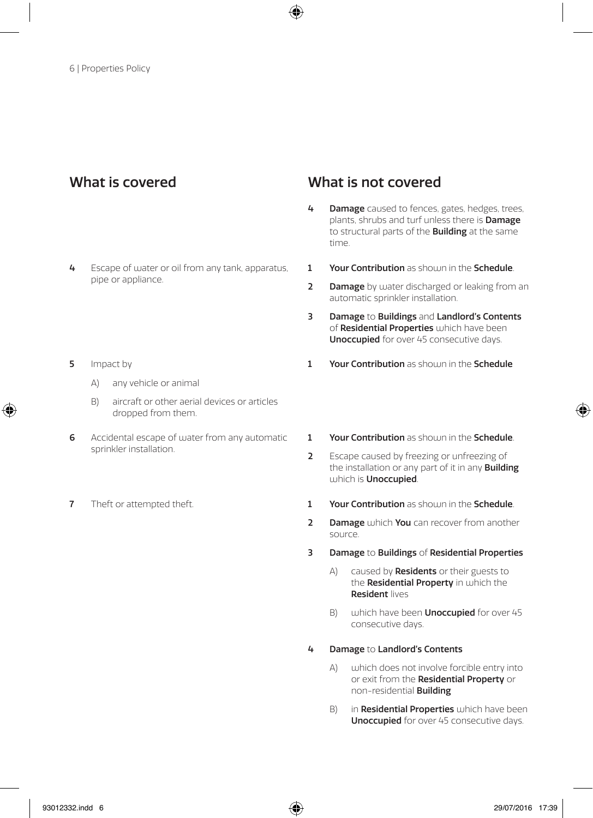- 4 Escape of water or oil from any tank, apparatus, pipe or appliance.
- 5 Impact by
	- A) any vehicle or animal
	- B) aircraft or other aerial devices or articles dropped from them.
- 6 Accidental escape of water from any automatic sprinkler installation.
- 

- 4 Damage caused to fences, gates, hedges, trees, plants, shrubs and turf unless there is Damage to structural parts of the **Building** at the same time.
- 1 Your Contribution as shoum in the Schedule.
- 2 Damage by water discharged or leaking from an automatic sprinkler installation.
- 3 Damage to Buildings and Landlord's Contents of Residential Properties which have been Unoccupied for over 45 consecutive days.
- 1 Your Contribution as should in the Schedule
- 1 Your Contribution as should in the Schedule.
- 2 Escape caused by freezing or unfreezing of the installation or any part of it in any **Building** which is Unoccupied.
- 7 Theft or attempted theft. 1 Your Contribution as shown in the Schedule.
	- 2 Damage which You can recover from another source.
	- 3 Damage to Buildings of Residential Properties
		- A) caused by **Residents** or their guests to the **Residential Property** in which the Resident lives
		- B) which have been **Unoccupied** for over 45 consecutive days.
	- 4 Damage to Landlord's Contents
		- A) which does not involve forcible entry into or exit from the Residential Property or non-residential Building
		- B) in Residential Properties which have been Unoccupied for over 45 consecutive days.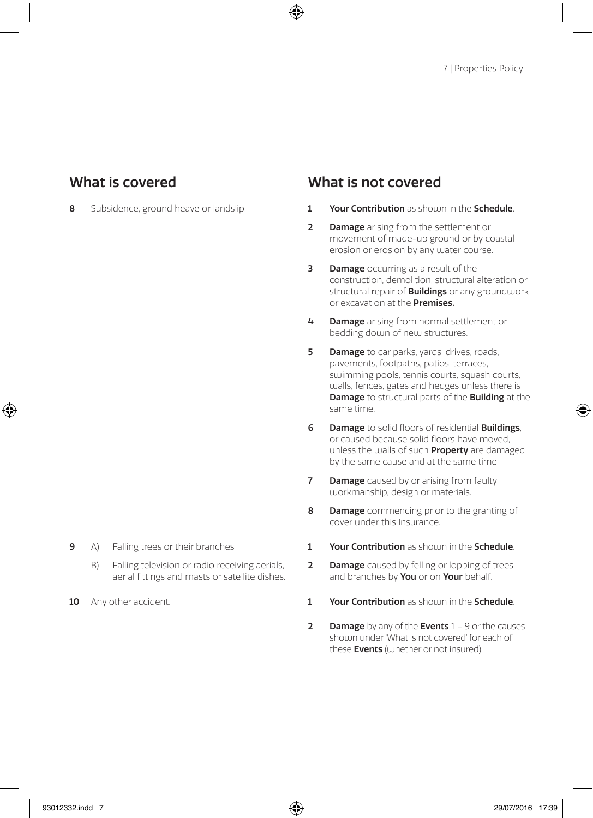- 8 Subsidence, ground heave or landslip. 1 Your Contribution as shown in the Schedule.
	- 2 Damage arising from the settlement or movement of made-up ground or by coastal erosion or erosion by any water course.
	- **3** Damage occurring as a result of the construction, demolition, structural alteration or structural repair of **Buildings** or any groundwork or excavation at the Premises.
	- 4 Damage arising from normal settlement or bedding down of new structures.
	- **5 Damage** to car parks, yards, drives, roads, pavements, footpaths, patios, terraces, swimming pools, tennis courts, squash courts, walls, fences, gates and hedges unless there is Damage to structural parts of the Building at the same time.
	- **6** Damage to solid floors of residential **Buildings**. or caused because solid floors have moved, unless the walls of such **Property** are damaged by the same cause and at the same time.
	- **7** Damage caused by or arising from faulty workmanship, design or materials.
	- 8 Damage commencing prior to the granting of cover under this Insurance.
	- 1 Your Contribution as shown in the Schedule.
	- 2 Damage caused by felling or lopping of trees and branches by You or on Your behalf.
- 10 Any other accident. 1 Your Contribution as shown in the Schedule.
	- 2 Damage by any of the Events  $1 9$  or the causes shown under 'What is not covered' for each of these **Events** (whether or not insured).
- 9 A) Falling trees or their branches
	- B) Falling television or radio receiving aerials, aerial fittings and masts or satellite dishes.
-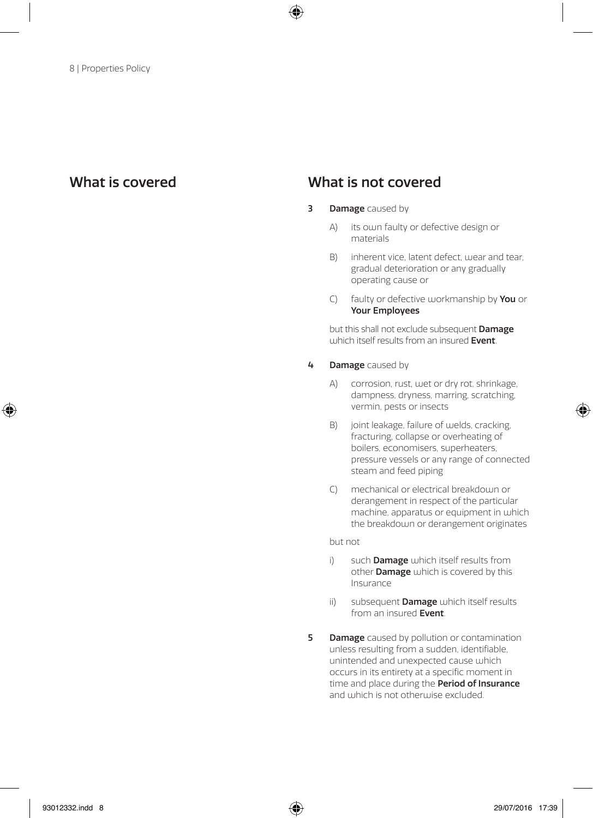- **3** Damage caused by
	- A) its own faulty or defective design or materials
	- B) inherent vice, latent defect, wear and tear, gradual deterioration or any gradually operating cause or
	- C) faulty or defective workmanship by You or Your Employees

 but this shall not exclude subsequent Damage  $u$ uhich itself results from an insured **Event** 

#### 4 **Damage** caused by

- A) corrosion, rust, wet or dry rot, shrinkage, dampness, dryness, marring, scratching, vermin, pests or insects
- B) joint leakage, failure of welds, cracking, fracturing, collapse or overheating of boilers, economisers, superheaters, pressure vessels or any range of connected steam and feed piping
- C) mechanical or electrical breakdown or derangement in respect of the particular machine, apparatus or equipment in which the breakdown or derangement originates

but not

- i) such **Damage** which itself results from other **Damage** which is covered by this Insurance
- ii) subsequent **Damage** which itself results from an insured Event.
- **5 Damage** caused by pollution or contamination unless resulting from a sudden, identifiable, unintended and unexpected cause which occurs in its entirety at a specific moment in time and place during the **Period of Insurance** and which is not otherwise excluded.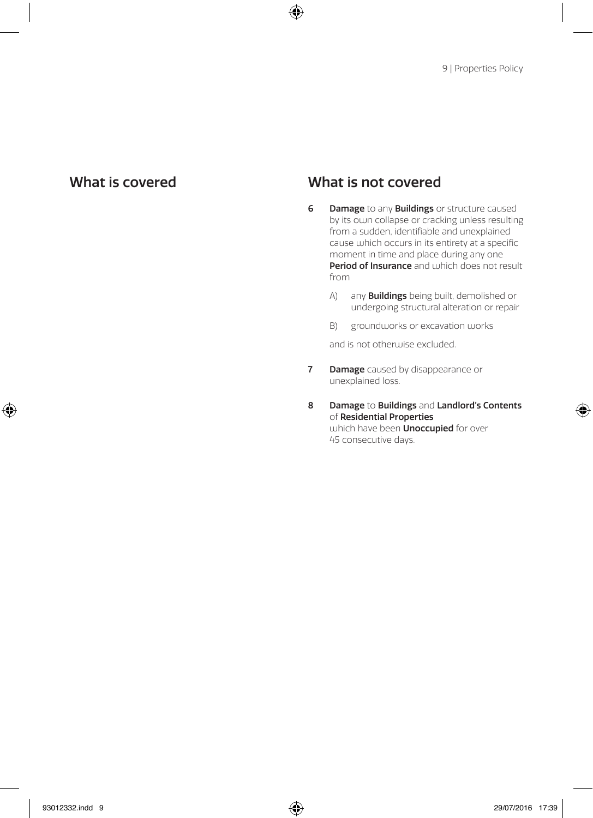- **6** Damage to any **Buildings** or structure caused by its own collapse or cracking unless resulting from a sudden, identifiable and unexplained cause which occurs in its entirety at a specific moment in time and place during any one Period of Insurance and which does not result from
	- A) any **Buildings** being built, demolished or undergoing structural alteration or repair
	- B) groundworks or excavation works

and is not otherwise excluded.

- **7** Damage caused by disappearance or unexplained loss.
- 8 Damage to Buildings and Landlord's Contents of Residential Properties which have been **Unoccupied** for over 45 consecutive days.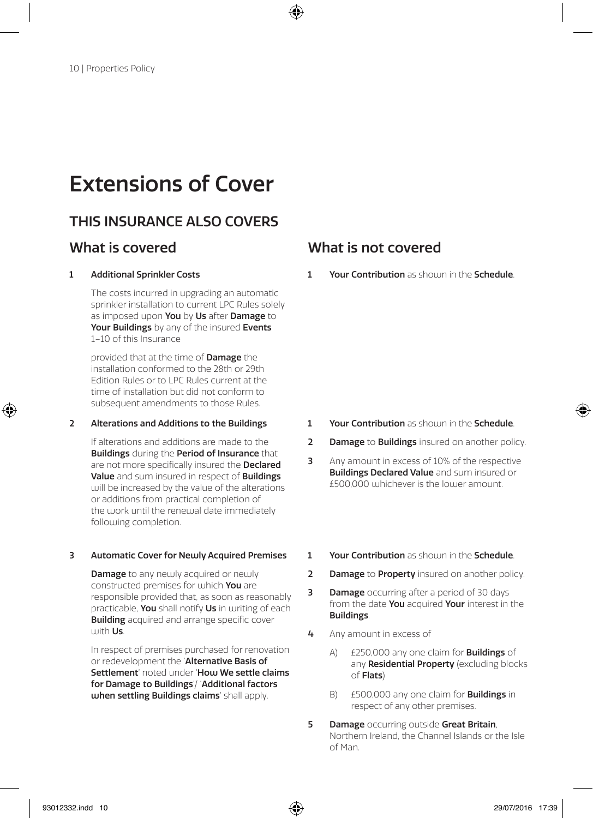# Extensions of Cover

## THIS INSURANCE ALSO COVERS

#### 1 Additional Sprinkler Costs

The costs incurred in upgrading an automatic sprinkler installation to current LPC Rules solely as imposed upon You by Us after Damage to Your Buildings by any of the insured Events 1–10 of this Insurance

provided that at the time of Damage the installation conformed to the 28th or 29th Edition Rules or to LPC Rules current at the time of installation but did not conform to subsequent amendments to those Rules.

#### 2 Alterations and Additions to the Buildings

If alterations and additions are made to the Buildings during the Period of Insurance that are not more specifically insured the **Declared** Value and sum insured in respect of Buildings will be increased by the value of the alterations or additions from practical completion of the work until the renewal date immediately following completion.

#### 3 Automatic Cover for Newly Acquired Premises

**Damage** to any newly acquired or newly constructed premises for which You are responsible provided that, as soon as reasonably practicable, You shall notify Us in writing of each **Building** acquired and arrange specific cover with Us.

In respect of premises purchased for renovation or redevelopment the 'Alternative Basis of Settlement' noted under 'Hou We settle claims for Damage to Buildings'/ 'Additional factors when settling Buildings claims' shall apply.

### What is covered What is not covered

1 Your Contribution as should in the Schedule.

- 1 Your Contribution as shoum in the Schedule.
- 2 Damage to Buildings insured on another policy.
- 3 Any amount in excess of 10% of the respective Buildings Declared Value and sum insured or £500,000 whichever is the lower amount.
- 1 Your Contribution as should in the Schedule.
- 2 Damage to Property insured on another policy.
- **3** Damage occurring after a period of 30 days from the date You acquired Your interest in the Buildings.
- 4 Any amount in excess of
	- A) £250,000 any one claim for **Buildings** of any Residential Property (excluding blocks of Flats)
	- B) £500,000 any one claim for **Buildings** in respect of any other premises.
- **5** Damage occurring outside Great Britain, Northern Ireland, the Channel Islands or the Isle of Man.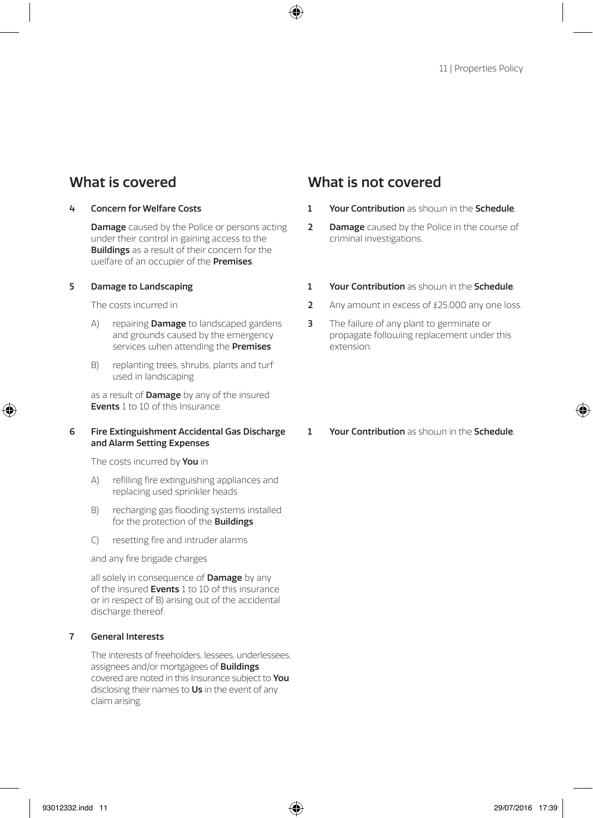#### 4 Concern for Welfare Costs

**Damage** caused by the Police or persons acting under their control in gaining access to the **Buildings** as a result of their concern for the welfare of an occupier of the **Premises**.

#### 5 Damage to Landscaping

The costs incurred in

- A) repairing **Damage** to landscaped gardens and grounds caused by the emergency services when attending the **Premises**
- B) replanting trees, shrubs, plants and turf used in landscaping

as a result of **Damage** by any of the insured Events 1 to 10 of this Insurance.

#### 6 Fire Extinguishment Accidental Gas Discharge and Alarm Setting Expenses

The costs incurred by **You** in

- A) refilling fire extinguishing appliances and replacing used sprinkler heads
- B) recharging gas flooding systems installed for the protection of the Buildings
- C) resetting fire and intruder alarms

and any fire brigade charges

all solely in consequence of **Damage** by any of the insured **Events** 1 to 10 of this insurance or in respect of B) arising out of the accidental discharge thereof.

#### 7 General Interests

The interests of freeholders, lessees, underlessees, assignees and/or mortgagees of **Buildings** covered are noted in this Insurance subject to You disclosing their names to Us in the event of any claim arising.

- 1 Your Contribution as should in the Schedule.
- **2** Damage caused by the Police in the course of criminal investigations.
- 1 Your Contribution as should in the Schedule.
- 2 Any amount in excess of £25,000 any one loss.
- **3** The failure of any plant to germinate or propagate following replacement under this extension.
- 1 Your Contribution as shoum in the Schedule.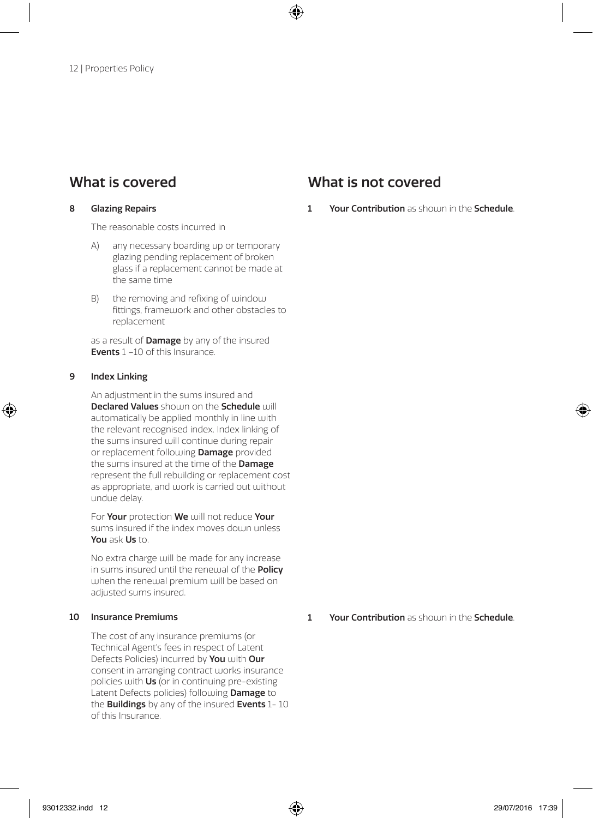#### 8 Glazing Repairs

The reasonable costs incurred in

- A) any necessary boarding up or temporary glazing pending replacement of broken glass if a replacement cannot be made at the same time
- B) the removing and refixing of window fittings, framework and other obstacles to replacement

as a result of **Damage** by any of the insured Events 1 –10 of this Insurance.

#### 9 Index Linking

An adjustment in the sums insured and Declared Values should on the Schedule will automatically be applied monthly in line with the relevant recognised index. Index linking of the sums insured will continue during repair or replacement following **Damage** provided the sums insured at the time of the **Damage** represent the full rebuilding or replacement cost as appropriate, and work is carried out without undue delay.

For Your protection We will not reduce Your sums insured if the index moves down unless You ask Us to.

No extra charge will be made for any increase in sums insured until the renewal of the **Policy** when the renewal premium will be based on adjusted sums insured.

#### 10 Insurance Premiums

The cost of any insurance premiums (or Technical Agent's fees in respect of Latent Defects Policies) incurred by You with Our consent in arranging contract works insurance policies with Us (or in continuing pre-existing Latent Defects policies) following **Damage** to the **Buildings** by any of the insured **Events** 1-10 of this Insurance.

### What is covered What is not covered

1 Your Contribution as should in the Schedule.

1 Your Contribution as should in the Schedule.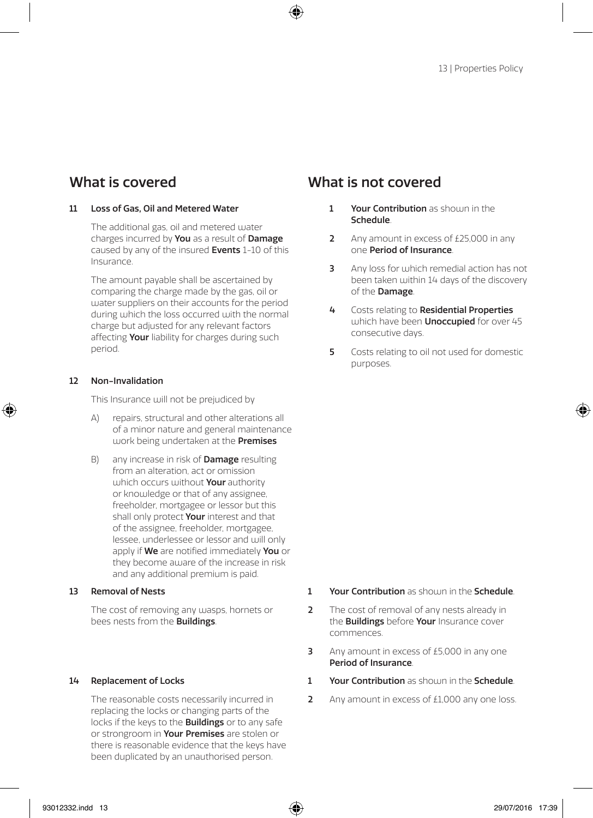#### 11 Loss of Gas, Oil and Metered Water

The additional gas, oil and metered water charges incurred by You as a result of Damage caused by any of the insured **Events** 1-10 of this Insurance.

The amount payable shall be ascertained by comparing the charge made by the gas, oil or water suppliers on their accounts for the period during which the loss occurred with the normal charge but adjusted for any relevant factors affecting **Your** liability for charges during such period.

#### 12 Non-Invalidation

This Insurance will not be prejudiced by

- A) repairs, structural and other alterations all of a minor nature and general maintenance work being undertaken at the Premises
- B) any increase in risk of **Damage** resulting from an alteration, act or omission which occurs without **Your** authority or knowledge or that of any assignee, freeholder, mortgagee or lessor but this shall only protect Your interest and that of the assignee, freeholder, mortgagee, lessee, underlessee or lessor and will only apply if We are notified immediately You or they become aware of the increase in risk and any additional premium is paid.

#### 13 Removal of Nests

The cost of removing any wasps, hornets or bees nests from the Buildings.

#### 14 Replacement of Locks

The reasonable costs necessarily incurred in replacing the locks or changing parts of the locks if the keys to the Buildings or to any safe or strongroom in **Your Premises** are stolen or there is reasonable evidence that the keys have been duplicated by an unauthorised person.

- 1 Your Contribution as should in the Schedule.
- 2 Any amount in excess of £25,000 in any one Period of Insurance.
- **3** Any loss for which remedial action has not been taken within 14 days of the discovery of the Damage.
- 4 Costs relating to Residential Properties which have been **Unoccupied** for over 45 consecutive days.
- 5 Costs relating to oil not used for domestic purposes.

- 1 Your Contribution as should in the Schedule.
- 2 The cost of removal of any nests already in the **Buildings** before **Your** Insurance cover commences.
- 3 Any amount in excess of £5,000 in any one Period of Insurance.
- 1 Your Contribution as shoum in the Schedule.
- 2 Any amount in excess of £1,000 any one loss.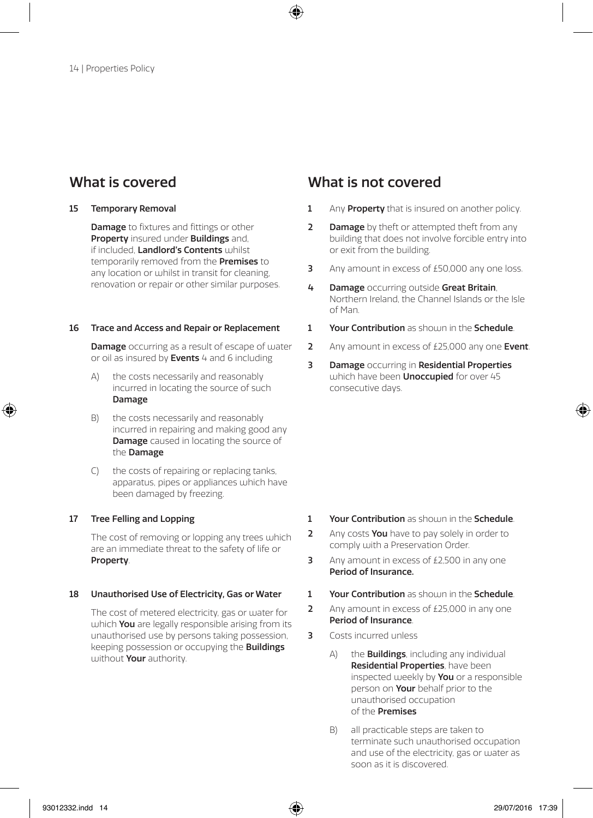#### 15 Temporary Removal

**Damage** to fixtures and fittings or other Property insured under Buildings and, if included. Landlord's Contents whilst temporarily removed from the **Premises** to any location or whilst in transit for cleaning, renovation or repair or other similar purposes.

#### 16 Trace and Access and Repair or Replacement

Damage occurring as a result of escape of water or oil as insured by Events 4 and 6 including

- the costs necessarily and reasonably incurred in locating the source of such Damage
- B) the costs necessarily and reasonably incurred in repairing and making good any **Damage** caused in locating the source of the Damage
- C) the costs of repairing or replacing tanks, apparatus, pipes or appliances which have been damaged by freezing.

#### 17 Tree Felling and Lopping

The cost of removing or lopping any trees which are an immediate threat to the safety of life or Property.

#### 18 Unauthorised Use of Electricity, Gas or Water

The cost of metered electricity, gas or water for which **You** are legally responsible arising from its unauthorised use by persons taking possession, keeping possession or occupying the Buildings without Your authority

- 1 Any **Property** that is insured on another policy.
- **2** Damage by theft or attempted theft from any building that does not involve forcible entry into or exit from the building.
- **3** Any amount in excess of £50,000 any one loss.
- 4 Damage occurring outside Great Britain, Northern Ireland, the Channel Islands or the Isle of Man.
- 1 Vour Contribution as should in the Schedule
- 2 Any amount in excess of  $f$ 25,000 any one Event.
- **3** Damage occurring in Residential Properties which have been **Unoccupied** for over  $45$ consecutive days.

- 1 Your Contribution as shown in the Schedule.
- 2 Any costs You have to pay solely in order to comply with a Preservation Order.
- 3 Any amount in excess of  $f$  2,500 in any one Period of Insurance.
- 1 Your Contribution as shown in the Schedule.
- 2 Any amount in excess of £25,000 in any one Period of Insurance.
- 3 Costs incurred unless
	- $A$ ) the **Buildings**, including any individual Residential Properties, have been inspected weekly by **You** or a responsible person on **Your** behalf prior to the unauthorised occupation of the Premises
	- B) all practicable steps are taken to terminate such unauthorised occupation and use of the electricity, gas or water as soon as it is discovered.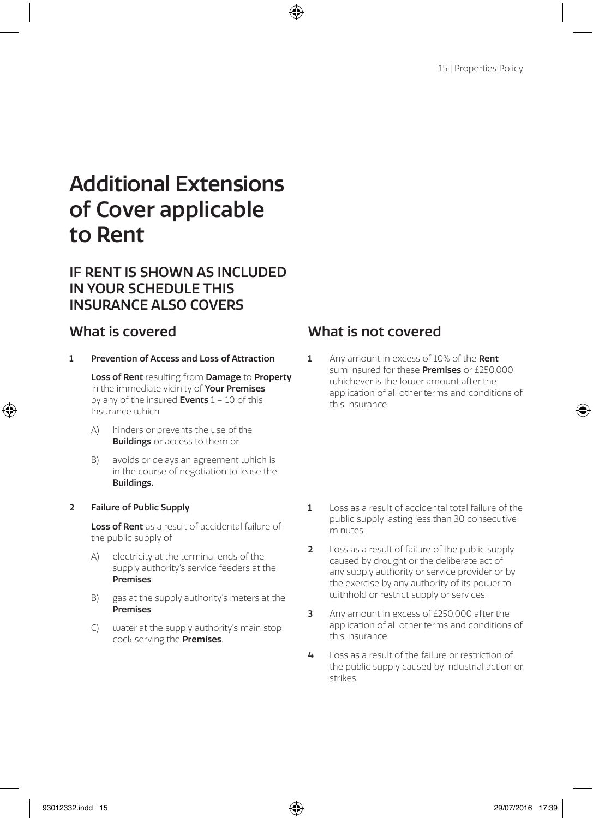# Additional Extensions of Cover applicable to Rent

### IF RENT IS SHOWN AS INCLUDED IN YOUR SCHEDULE THIS INSURANCE ALSO COVERS

1 Prevention of Access and Loss of Attraction

Loss of Rent resulting from Damage to Property in the immediate vicinity of **Your Premises** by any of the insured Events  $1 - 10$  of this Insurance which

- A) hinders or prevents the use of the **Buildings** or access to them or
- B) avoids or delays an agreement which is in the course of negotiation to lease the Buildings.

#### 2 Failure of Public Supply

Loss of Rent as a result of accidental failure of the public supply of

- A) electricity at the terminal ends of the supply authority's service feeders at the Premises
- B) gas at the supply authority's meters at the Premises
- C) water at the supply authority's main stop cock serving the Premises.

## What is covered What is not covered

1 Any amount in excess of 10% of the Rent sum insured for these **Dremises** or £250,000 whichever is the lower amount after the application of all other terms and conditions of this Insurance.

- 1 Loss as a result of accidental total failure of the public supply lasting less than 30 consecutive minutes.
- 2 Loss as a result of failure of the public supply caused by drought or the deliberate act of any supply authority or service provider or by the exercise by any authority of its power to withhold or restrict supply or services.
- **3** Any amount in excess of £250,000 after the application of all other terms and conditions of this Insurance.
- 4 Loss as a result of the failure or restriction of the public supply caused by industrial action or strikes.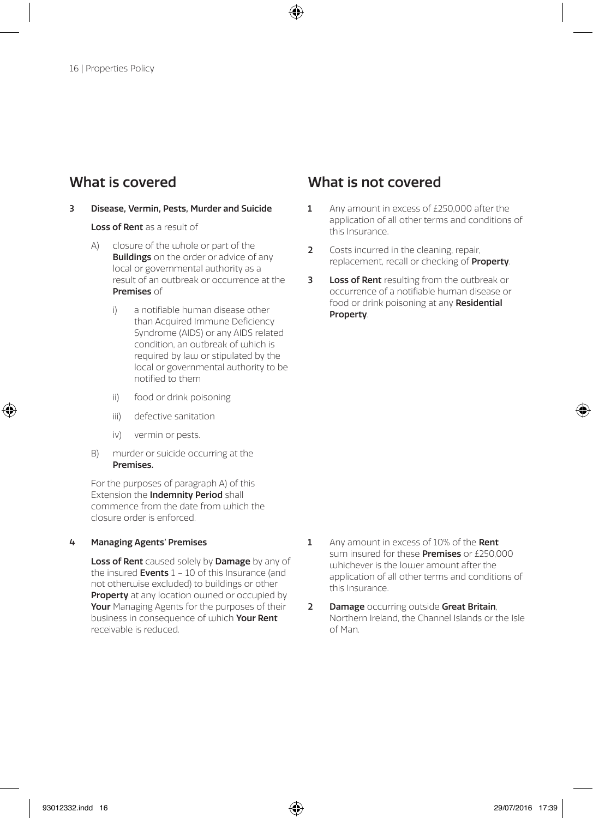#### 3 Disease, Vermin, Pests, Murder and Suicide

Loss of Rent as a result of

- A) closure of the whole or part of the **Buildings** on the order or advice of any local or governmental authority as a result of an outbreak or occurrence at the Premises of
	- i) a notifiable human disease other than Acquired Immune Deficiency Syndrome (AIDS) or any AIDS related condition, an outbreak of which is required by law or stipulated by the local or governmental authority to be notified to them
	- ii) food or drink poisoning
	- iii) defective sanitation
	- iv) vermin or pests.
- B) murder or suicide occurring at the Premises.

For the purposes of paragraph A) of this Extension the Indemnity Period shall commence from the date from which the closure order is enforced.

#### 4 Managing Agents' Premises

Loss of Rent caused solely by Damage by any of the insured **Events**  $1 - 10$  of this Insurance (and not otherwise excluded) to buildings or other Property at any location ou ned or occupied by Your Managing Agents for the purposes of their business in consequence of which Your Rent receivable is reduced.

- 1 Any amount in excess of £250,000 after the application of all other terms and conditions of this Insurance.
- 2 Costs incurred in the cleaning, repair, replacement, recall or checking of **Property**.
- **3** Loss of Rent resulting from the outbreak or occurrence of a notifiable human disease or food or drink poisoning at any Residential Property.

- 1 Any amount in excess of 10% of the Rent sum insured for these **Premises** or £250,000 whichever is the lower amount after the application of all other terms and conditions of this Insurance.
- 2 Damage occurring outside Great Britain, Northern Ireland, the Channel Islands or the Isle of Man.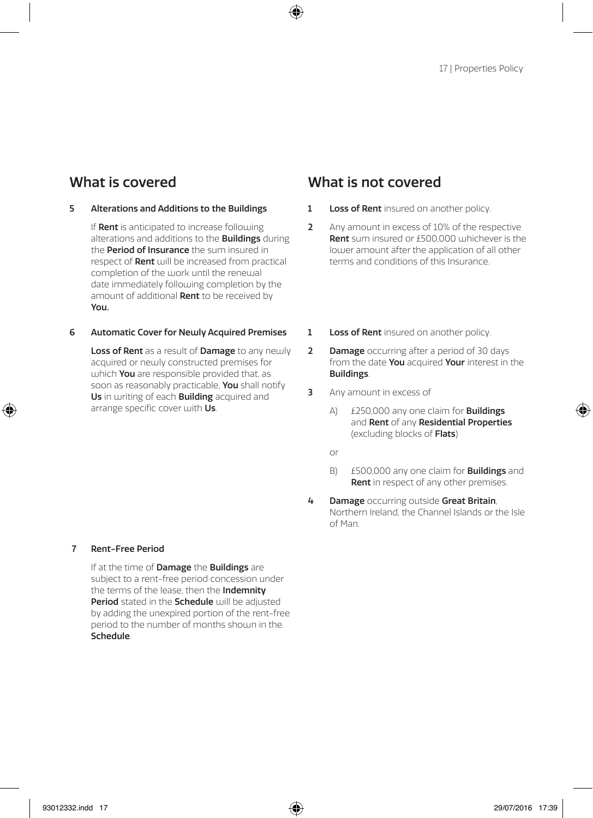#### 5 Alterations and Additions to the Buildings

If Rent is anticipated to increase following alterations and additions to the **Buildings** during the **Period of Insurance** the sum insured in respect of Rent will be increased from practical completion of the work until the renewal date immediately following completion by the amount of additional **Rent** to be received by You.

#### 6 Automatic Cover for Newly Acquired Premises

Loss of Rent as a result of Damage to any newly acquired or newly constructed premises for which  $You$  are responsible provided that, as soon as reasonably practicable. You shall notify Us in writing of each **Building** acquired and arrange specific cover with Us.

### What is covered What is not covered

- 1 Loss of Rent insured on another policy.
- 2 Any amount in excess of 10% of the respective Rent sum insured or £500,000 whichever is the lower amount after the application of all other terms and conditions of this Insurance.
- 1 Loss of Rent insured on another policy.
- **2** Damage occurring after a period of 30 days from the date You acquired Your interest in the Buildings.
- 3 Any amount in excess of
	- A)  $f$ 250,000 any one claim for **Buildings** and Rent of any Residential Properties (excluding blocks of Flats)
	- or
	- B) £500,000 any one claim for **Buildings** and Rent in respect of any other premises.
- 4 Damage occurring outside Great Britain, Northern Ireland, the Channel Islands or the Isle of Man.

#### 7 Rent-Free Period

If at the time of **Damage** the **Buildings** are subject to a rent-free period concession under the terms of the lease, then the **Indemnity** Period stated in the Schedule will be adjusted by adding the unexpired portion of the rent-free period to the number of months shown in the Schedule.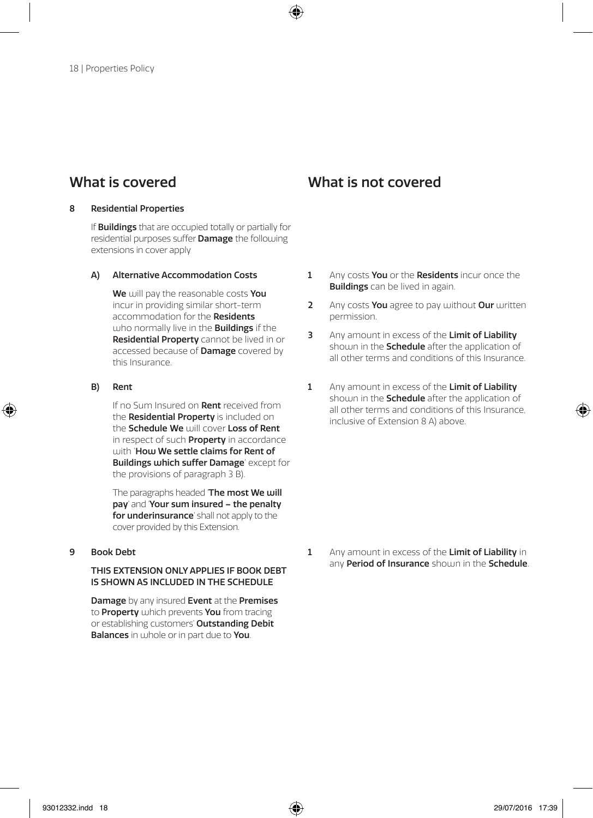#### 8 Residential Properties

If **Buildings** that are occupied totally or partially for residential purposes suffer Damage the following extensions in cover apply

#### A) Alternative Accommodation Costs

We will nay the reasonable costs You incur in providing similar short-term accommodation for the **Residents** ujho normally live in the **Buildings** if the Residential Property cannot be lived in or accessed because of **Damage** covered by this Insurance.

#### B) Rent

If no Sum Insured on Rent received from the **Residential Property** is included on the Schedule We will cover Loss of Rent in respect of such **Property** in accordance with 'How We settle claims for Rent of Buildings which suffer Damage' except for the provisions of paragraph 3 B).

The paragraphs headed 'The most We will pay' and 'Your sum insured – the penalty for underinsurance' shall not apply to the cover provided by this Extension.

#### 9 Book Debt

#### THIS EXTENSION ONLY APPLIES IF BOOK DEBT IS SHOWN AS INCLUDED IN THE SCHEDULE

Damage by any insured Event at the Premises to **Property** which prevents You from tracing or establishing customers' Outstanding Debit **Balances** in whole or in part due to **You**.

What is covered What is not covered

- 1 Any costs You or the Residents incur once the **Buildings** can be lived in again.
- 2 Any costs You agree to pay without Our written permission.
- 3 Any amount in excess of the Limit of Liability shoum in the **Schedule** after the application of all other terms and conditions of this Insurance.
- 1 Any amount in excess of the Limit of Liability shown in the **Schedule** after the application of all other terms and conditions of this Insurance, inclusive of Extension 8 A) above.

1 Any amount in excess of the Limit of Liability in any Period of Insurance shown in the Schedule.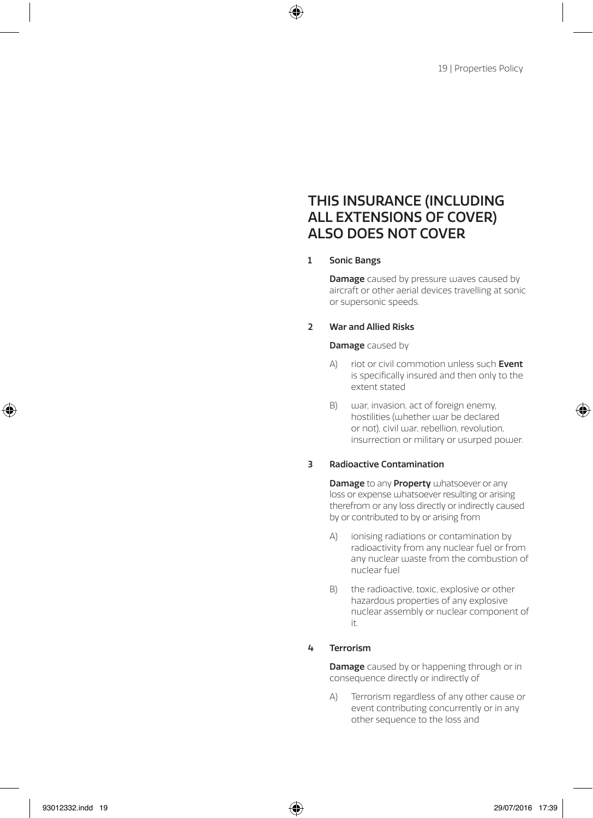### THIS INSURANCE (INCLUDING ALL EXTENSIONS OF COVER) ALSO DOES NOT COVER

#### 1 Sonic Bangs

**Damage** caused by pressure waves caused by aircraft or other aerial devices travelling at sonic or supersonic speeds.

#### 2 War and Allied Risks

#### **Damage** caused by

- A) riot or civil commotion unless such Event is specifically insured and then only to the extent stated
- B) war, invasion, act of foreign enemy, hostilities (whether war be declared or not), civil war, rebellion, revolution, insurrection or military or usurped power.

#### 3 Radioactive Contamination

**Damage** to any **Property** whatsoever or any loss or expense whatsoever resulting or arising therefrom or any loss directly or indirectly caused by or contributed to by or arising from

- A) ionising radiations or contamination by radioactivity from any nuclear fuel or from any nuclear waste from the combustion of nuclear fuel
- B) the radioactive, toxic, explosive or other hazardous properties of any explosive nuclear assembly or nuclear component of it.

#### 4 Terrorism

**Damage** caused by or happening through or in consequence directly or indirectly of

A) Terrorism regardless of any other cause or event contributing concurrently or in any other sequence to the loss and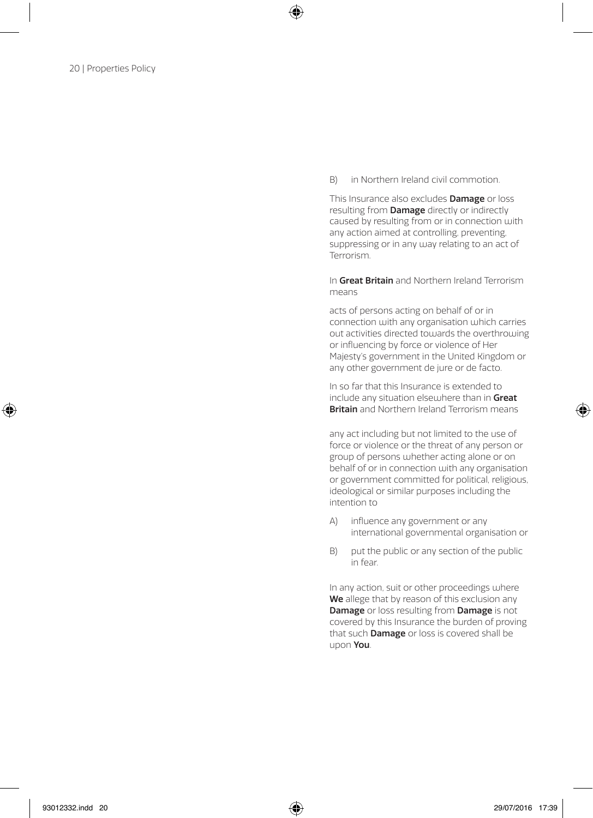B) in Northern Ireland civil commotion.

This Insurance also excludes **Damage** or loss resulting from Damage directly or indirectly caused by resulting from or in connection with any action aimed at controlling, preventing, suppressing or in any way relating to an act of Terrorism.

 In Great Britain and Northern Ireland Terrorism means

 acts of persons acting on behalf of or in connection with any organisation which carries out activities directed towards the overthrowing or influencing by force or violence of Her Majesty's government in the United Kingdom or any other government de jure or de facto.

 In so far that this Insurance is extended to include any situation elsewhere than in Great **Britain** and Northern Ireland Terrorism means

 any act including but not limited to the use of force or violence or the threat of any person or group of persons whether acting alone or on behalf of or in connection with any organisation or government committed for political, religious, ideological or similar purposes including the intention to

- A) influence any government or any international governmental organisation or
- B) put the public or any section of the public in fear.

In any action, suit or other proceedings where We allege that by reason of this exclusion any Damage or loss resulting from Damage is not covered by this Insurance the burden of proving that such Damage or loss is covered shall be upon You.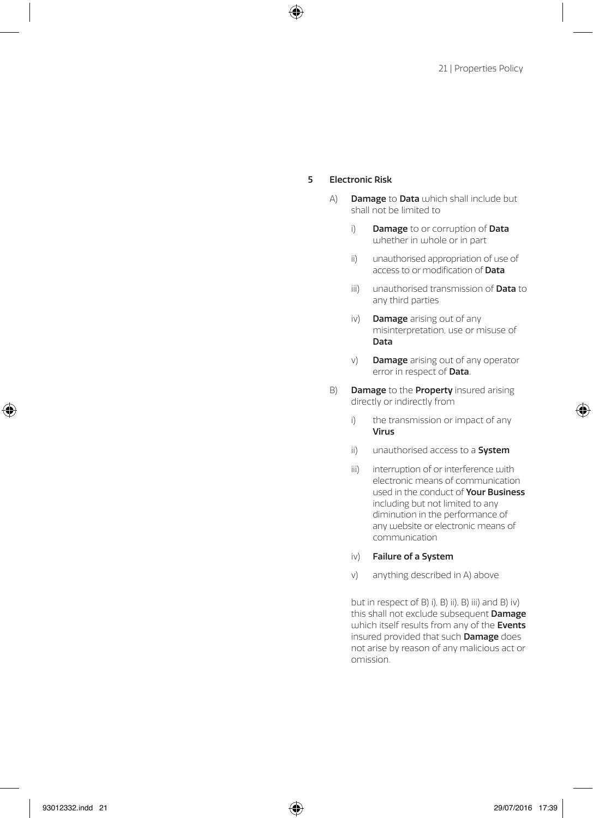#### 5 Electronic Risk

- A) **Damage to Data** which shall include but shall not be limited to
	- i) Damage to or corruption of Data whether in whole or in part
	- ii) unauthorised appropriation of use of access to or modification of **Data**
	- iii) unauthorised transmission of **Data** to any third parties
	- iv) **Damage** arising out of any misinterpretation, use or misuse of Data
	- v) **Damage** arising out of any operator error in respect of Data.
- B) Damage to the Property insured arising directly or indirectly from
	- i) the transmission or impact of any Virus
	- ii) unauthorised access to a **System**
	- iii) interruption of or interference with electronic means of communication used in the conduct of **Your Business** including but not limited to any diminution in the performance of any website or electronic means of communication
	- iv) Failure of a System
	- v) anything described in A) above

but in respect of B) i), B) ii), B) iii) and B) iv) this shall not exclude subsequent Damage which itself results from any of the Events insured provided that such Damage does not arise by reason of any malicious act or omission.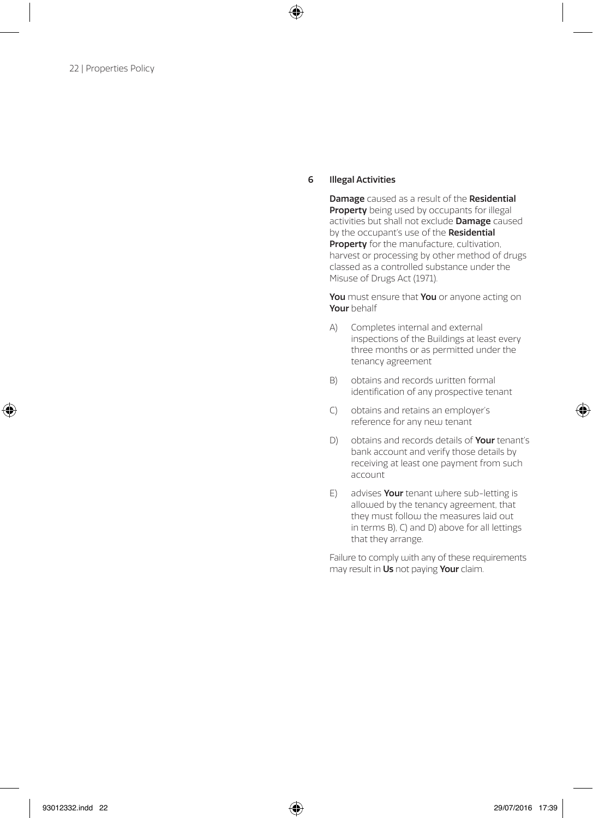#### 6 Illegal Activities

Damage caused as a result of the Residential Property being used by occupants for illegal activities but shall not exclude Damage caused by the occupant's use of the Residential Property for the manufacture, cultivation, harvest or processing by other method of drugs classed as a controlled substance under the Misuse of Drugs Act (1971).

You must ensure that You or anyone acting on Your behalf

- A) Completes internal and external inspections of the Buildings at least every three months or as permitted under the tenancy agreement
- B) obtains and records written formal identification of any prospective tenant
- C) obtains and retains an employer's reference for any new tenant
- D) obtains and records details of **Your** tenant's bank account and verify those details by receiving at least one payment from such account
- E) advises **Your** tenant where sub-letting is allowed by the tenancy agreement, that they must follow the measures laid out in terms B), C) and D) above for all lettings that they arrange.

Failure to comply with any of these requirements may result in Us not paying Your claim.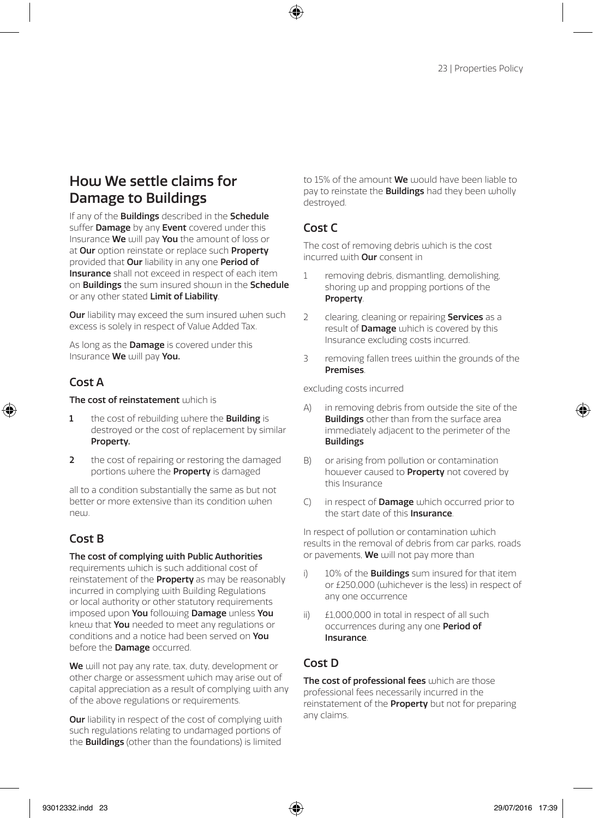## How We settle claims for Damage to Buildings

If any of the **Buildings** described in the **Schedule** suffer **Damage** by any **Event** covered under this Insurance We will pay You the amount of loss or at Our option reinstate or replace such Property provided that Our liability in any one Period of Insurance shall not exceed in respect of each item on **Buildings** the sum insured shown in the **Schedule** or any other stated Limit of Liability.

**Our** liability may exceed the sum insured when such excess is solely in respect of Value Added Tax.

As long as the **Damage** is covered under this Insurance We will pay You.

### $C$ nst  $\Delta$

#### The cost of reinstatement which is

- 1 the cost of rebuilding where the **Building** is destroyed or the cost of replacement by similar Property.
- 2 the cost of repairing or restoring the damaged portions where the Property is damaged

all to a condition substantially the same as but not better or more extensive than its condition when new

### Cost B

#### The cost of complying with Public Authorities

requirements which is such additional cost of reinstatement of the **Property** as may be reasonably incurred in complying with Building Regulations or local authority or other statutory requirements imposed upon You following Damage unless You knew that **You** needed to meet any regulations or conditions and a notice had been served on You before the Damage occurred.

We will not pay any rate, tax, duty, development or other charge or assessment which may arise out of capital appreciation as a result of complying with any of the above regulations or requirements.

**Our** liability in respect of the cost of complying with such regulations relating to undamaged portions of the Buildings (other than the foundations) is limited

to 15% of the amount **We** would have been liable to pay to reinstate the **Buildings** had they been wholly destroyed.

### Cost C

The cost of removing debris which is the cost incurred with Our consent in

- 1 removing debris, dismantling, demolishing shoring up and propping portions of the Property.
- 2 clearing, cleaning or repairing **Services** as a result of **Damage** which is covered by this Insurance excluding costs incurred.
- 3 removing fallen trees within the grounds of the **Premises**

excluding costs incurred

- A) in removing debris from outside the site of the **Buildings** other than from the surface area immediately adjacent to the perimeter of the Buildings
- B) or arising from pollution or contamination however caused to **Property** not covered by this Insurance
- C) in respect of **Damage** which occurred prior to the start date of this Insurance.

In respect of pollution or contamination which results in the removal of debris from car parks, roads or pavements, **We** will not pay more than

- i) 10% of the **Buildings** sum insured for that item or £250,000 (whichever is the less) in respect of any one occurrence
- ii) £1,000,000 in total in respect of all such occurrences during any one Period of Insurance.

### Cost D

The cost of professional fees which are those professional fees necessarily incurred in the reinstatement of the **Property** but not for preparing any claims.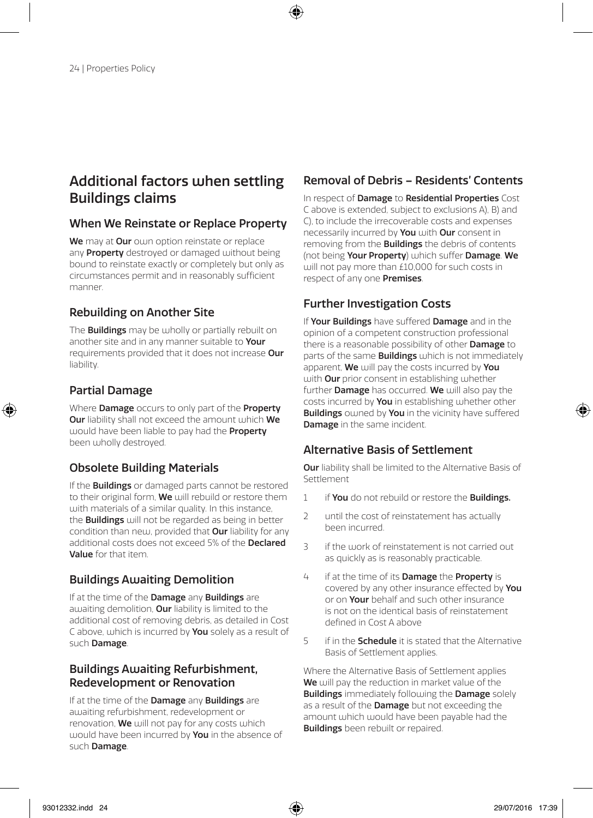### Additional factors when settling Buildings claims

### When We Reinstate or Replace Property

We may at Our own option reinstate or replace any **Property** destroyed or damaged without being bound to reinstate exactly or completely but only as circumstances permit and in reasonably sufficient manner.

### Rebuilding on Another Site

The **Buildings** may be wholly or partially rebuilt on another site and in any manner suitable to **Your** requirements provided that it does not increase Our liability.

### Partial Damage

Where **Damage** occurs to only part of the **Property** Our liability shall not exceed the amount which We would have been liable to pay had the **Property** been wholly destroyed.

### Obsolete Building Materials

If the **Buildings** or damaged parts cannot be restored to their original form. We will rebuild or restore them with materials of a similar quality. In this instance, the **Buildings** will not be regarded as being in better condition than new, provided that Our liability for any additional costs does not exceed 5% of the **Declared** Value for that item.

### Buildings Awaiting Demolition

If at the time of the Damage any Buildings are awaiting demolition, **Our** liability is limited to the additional cost of removing debris, as detailed in Cost C above, which is incurred by You solely as a result of such **Damage**.

#### Buildings Awaiting Refurbishment, Redevelopment or Renovation

If at the time of the **Damage** any **Buildings** are awaiting refurbishment, redevelopment or renovation. We will not pay for any costs which would have been incurred by You in the absence of such Damage.

### Removal of Debris – Residents' Contents

In respect of Damage to Residential Properties Cost C above is extended, subject to exclusions A), B) and C), to include the irrecoverable costs and expenses necessarily incurred by **You** with **Our** consent in removing from the **Buildings** the debris of contents (not being Your Property) which suffer Damage. We will not pay more than £10,000 for such costs in respect of any one Premises.

### Further Investigation Costs

If Your Buildings have suffered Damage and in the opinion of a competent construction professional there is a reasonable possibility of other Damage to parts of the same **Buildings** which is not immediately apparent, We will pay the costs incurred by You with Our prior consent in establishing whether further **Damage** has occurred. We will also pay the costs incurred by You in establishing whether other **Buildings** owned by You in the vicinity have suffered Damage in the same incident.

### Alternative Basis of Settlement

Our liability shall be limited to the Alternative Basis of Settlement

- 1 if You do not rebuild or restore the Buildings.
- 2 until the cost of reinstatement has actually been incurred.
- 3 if the work of reinstatement is not carried out as quickly as is reasonably practicable.
- 4 if at the time of its **Damage** the **Property** is covered by any other insurance effected by You or on Your behalf and such other insurance is not on the identical basis of reinstatement defined in Cost A above
- 5 if in the **Schedule** it is stated that the Alternative Basis of Settlement applies.

Where the Alternative Basis of Settlement applies We will pay the reduction in market value of the **Buildings** immediately following the **Damage** solely as a result of the **Damage** but not exceeding the amount which would have been payable had the **Buildings** been rebuilt or repaired.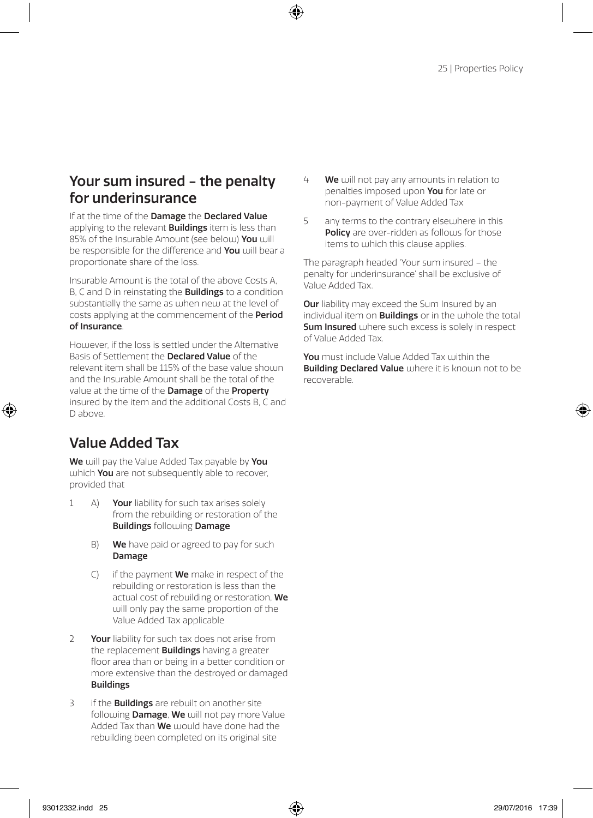### Your sum insured - the penalty for underinsurance

If at the time of the Damage the Declared Value applying to the relevant **Buildings** item is less than 85% of the Insurable Amount (see below) You will be responsible for the difference and You will bear a proportionate share of the loss.

Insurable Amount is the total of the above Costs A, B, C and D in reinstating the **Buildings** to a condition substantially the same as when new at the level of costs applying at the commencement of the Period of Insurance.

However, if the loss is settled under the Alternative Basis of Settlement the Declared Value of the relevant item shall be 115% of the base value shown and the Insurable Amount shall be the total of the value at the time of the Damage of the Property insured by the item and the additional Costs B, C and D above.

## Value Added Tax

We will pay the Value Added Tax payable by You which You are not subsequently able to recover, provided that

- 1 A) Your liability for such tax arises solely from the rebuilding or restoration of the Buildings following Damage
	- B) We have paid or agreed to pay for such Damage
	- $(C)$  if the payment **We** make in respect of the rebuilding or restoration is less than the actual cost of rebuilding or restoration, We will only pay the same proportion of the Value Added Tax applicable
- 2 Your liability for such tax does not arise from the replacement **Buildings** having a greater floor area than or being in a better condition or more extensive than the destroyed or damaged Buildings
- 3 if the **Buildings** are rebuilt on another site following **Damage, We** will not pay more Value Added Tax than  $\overline{W}e$  would have done had the rebuilding been completed on its original site
- 4 We will not pay any amounts in relation to penalties imposed upon You for late or non-payment of Value Added Tax
- 5 any terms to the contrary elsewhere in this Policy are over-ridden as follows for those items to which this clause applies.

The paragraph headed 'Your sum insured – the penalty for underinsurance' shall be exclusive of Value Added Tax.

Our liability may exceed the Sum Insured by an individual item on **Buildings** or in the whole the total **Sum Insured** where such excess is solely in respect of Value Added Tax.

You must include Value Added Tax within the **Building Declared Value** where it is known not to be recoverable.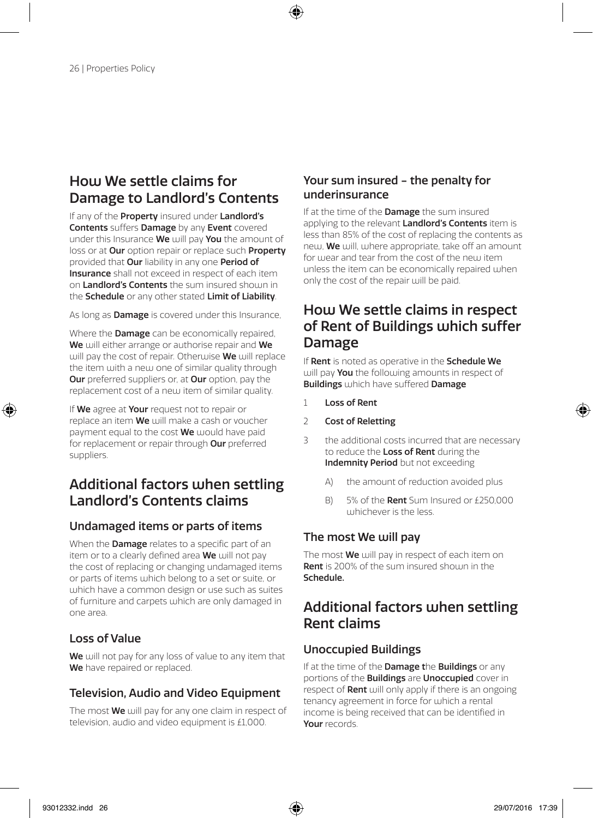### How We settle claims for Damage to Landlord's Contents

If any of the **Property** insured under Landlord's Contents suffers Damage by any Event covered under this Insurance We will pay You the amount of loss or at **Our** option repair or replace such **Property** provided that **Our** liability in any one **Period of** Insurance shall not exceed in respect of each item on **Landlord's Contents** the sum insured shouln in the **Schedule** or any other stated Limit of Liability.

As long as **Damage** is covered under this Insurance,

Where the **Damage** can be economically repaired. We will either arrange or authorise repair and We will pay the cost of repair. Otherwise We will replace the item with a new one of similar quality through **Our** preferred suppliers or, at **Our** option, pay the replacement cost of a new item of similar quality.

If We agree at Your request not to repair or replace an item We will make a cash or voucher payment equal to the cost We would have paid for replacement or repair through Our preferred suppliers.

## Additional factors when settling Landlord's Contents claims

### Undamaged items or parts of items

When the **Damage** relates to a specific part of an item or to a clearly defined area We will not pay the cost of replacing or changing undamaged items or parts of items which belong to a set or suite, or which have a common design or use such as suites of furniture and carpets which are only damaged in one area.

### Loss of Value

We will not pay for any loss of value to any item that We have repaired or replaced.

### Television, Audio and Video Equipment

The most We will pay for any one claim in respect of television, audio and video equipment is £1,000.

### Your sum insured - the penalty for underinsurance

If at the time of the **Damage** the sum insured applying to the relevant Landlord's Contents item is less than 85% of the cost of replacing the contents as new, We will, where appropriate, take off an amount for wear and tear from the cost of the new item unless the item can be economically repaired when only the cost of the repair will be paid.

## How We settle claims in respect of Rent of Buildings which suffer Damage

If Rent is noted as operative in the Schedule We will pay **You** the following amounts in respect of Buildings which have suffered Damage

- 1 Loss of Rent
- 2 Cost of Reletting
- 3 the additional costs incurred that are necessary to reduce the Loss of Rent during the Indemnity Period but not exceeding
	- A) the amount of reduction avoided plus
	- B) 5% of the Rent Sum Insured or £250,000 whichever is the less.

### The most We will pay

The most **We** will pay in respect of each item on **Rent** is 200% of the sum insured shoum in the Schedule.

## Additional factors when settling Rent claims

### Unoccupied Buildings

If at the time of the **Damage the Buildings** or any portions of the **Buildings** are **Unoccupied** cover in respect of **Rent** will only apply if there is an ongoing tenancy agreement in force for which a rental income is being received that can be identified in Your records.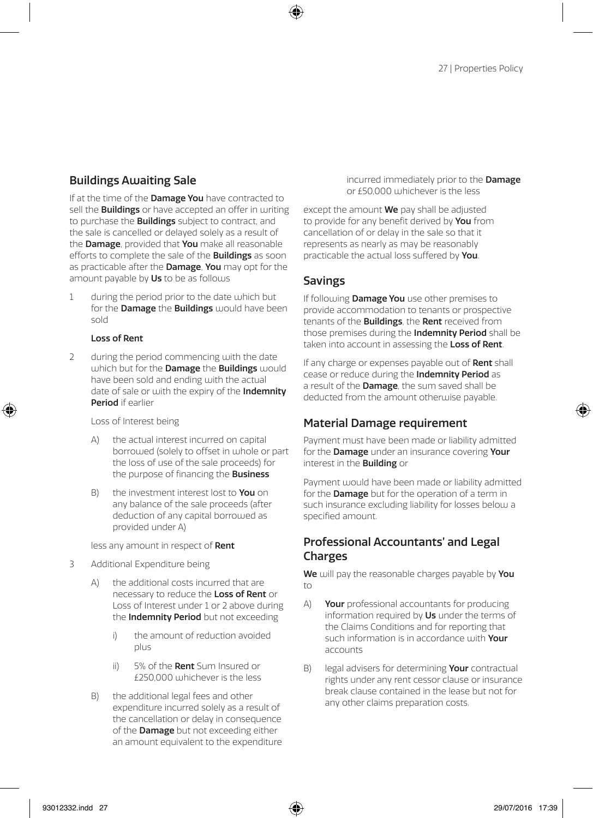### Buildings Awaiting Sale

If at the time of the **Damage You** have contracted to sell the **Buildings** or have accepted an offer in writing to purchase the **Buildings** subject to contract, and the sale is cancelled or delayed solely as a result of the **Damage**, provided that **You** make all reasonable efforts to complete the sale of the **Buildings** as soon as practicable after the **Damage**. You may opt for the amount payable by Us to be as follows

1 during the period prior to the date which but for the **Damage** the **Buildings** would have been sold

#### Loss of Rent

2 during the period commencing with the date which but for the **Damage** the **Buildings** would have been sold and ending with the actual date of sale or with the expiry of the Indemnity Period if earlier

#### Loss of Interest being

- A) the actual interest incurred on capital borrowed (solely to offset in whole or part the loss of use of the sale proceeds) for the purpose of financing the **Business**
- B) the investment interest lost to **You** on any balance of the sale proceeds (after deduction of any capital borrowed as provided under A)

less any amount in respect of Rent

- 3 Additional Expenditure being
	- A) the additional costs incurred that are necessary to reduce the Loss of Rent or Loss of Interest under 1 or 2 above during the **Indemnity Period** but not exceeding
		- i) the amount of reduction avoided plus
		- ii) 5% of the **Rent** Sum Insured or £250,000 whichever is the less
	- B) the additional legal fees and other expenditure incurred solely as a result of the cancellation or delay in consequence of the **Damage** but not exceeding either an amount equivalent to the expenditure

incurred immediately prior to the Damage or £50,000 whichever is the less

except the amount **We** pay shall be adjusted to provide for any benefit derived by You from cancellation of or delay in the sale so that it represents as nearly as may be reasonably practicable the actual loss suffered by You.

#### Savings

If following Damage You use other premises to provide accommodation to tenants or prospective tenants of the **Buildings**, the **Rent** received from those premises during the Indemnity Period shall be taken into account in assessing the Loss of Rent

If any charge or expenses payable out of Rent shall cease or reduce during the Indemnity Period as a result of the **Damage**, the sum saved shall be deducted from the amount otherwise payable.

### Material Damage requirement

Payment must have been made or liability admitted for the Damage under an insurance covering Your interest in the Building or

Payment would have been made or liability admitted for the **Damage** but for the operation of a term in such insurance excluding liability for losses below a specified amount.

### Professional Accountants' and Legal Charges

We will pay the reasonable charges payable by You to

- A) Your professional accountants for producing information required by Us under the terms of the Claims Conditions and for reporting that such information is in accordance with Your accounts
- B) legal advisers for determining Your contractual rights under any rent cessor clause or insurance break clause contained in the lease but not for any other claims preparation costs.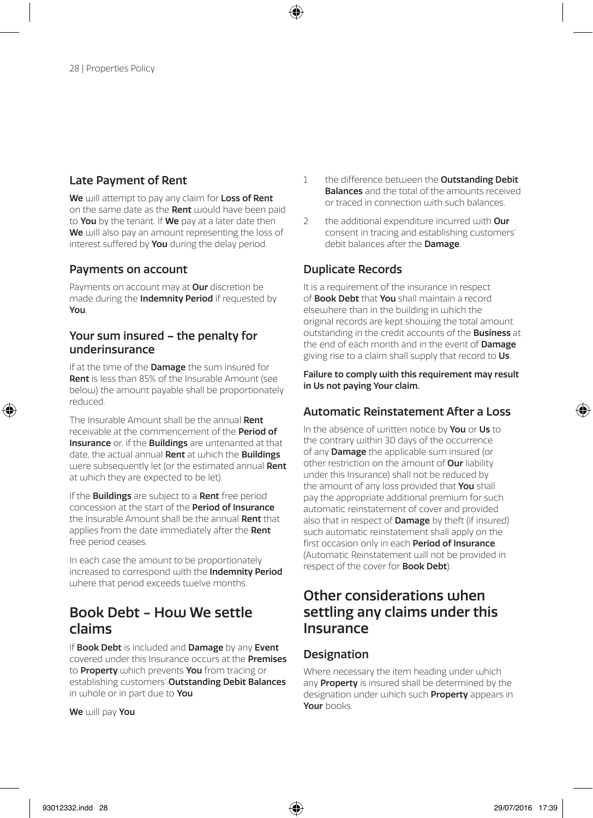### Late Payment of Rent

We will attempt to pay any claim for Loss of Rent on the same date as the Rent would have been paid to You by the tenant. If We pay at a later date then We will also pay an amount representing the loss of interest suffered by You during the delay period.

### Payments on account

Payments on account may at **Our** discretion be made during the **Indemnity Period** if requested by You.

### Your sum insured – the penalty for underinsurance

If at the time of the **Damage** the sum insured for Rent is less than 85% of the Insurable Amount (see below) the amount payable shall be proportionately reduced.

The Insurable Amount shall be the annual Dent receivable at the commencement of the Period of Insurance or, if the Buildings are untenanted at that date, the actual annual **Rent** at which the **Buildings** were subsequently let (or the estimated annual Rent at which they are expected to be let).

If the **Buildings** are subject to a **Rent** free period concession at the start of the Period of Insurance the Insurable Amount shall be the annual Rent that applies from the date immediately after the Rent free period ceases.

In each case the amount to be proportionately increased to correspond with the Indemnity Period where that period exceeds twelve months.

### Book Debt - Hou We settle claims

If Book Debt is included and Damage by any Event covered under this Insurance occurs at the Premises to **Property** which prevents You from tracing or establishing customers' Outstanding Debit Balances in whole or in part due to You

We will pay You

- 1 the difference between the **Outstanding Debit** Balances and the total of the amounts received or traced in connection with such balances.
- 2 the additional expenditure incurred with  $Our$ consent in tracing and establishing customers' debit balances after the **Damage**.

### Duplicate Records

It is a requirement of the insurance in respect of Book Debt that You shall maintain a record elsewhere than in the building in which the original records are kept showing the total amount outstanding in the credit accounts of the Business at the end of each month and in the event of Damage giving rise to a claim shall supply that record to Us.

Failure to comply with this requirement may result in Us not paying Your claim.

### Automatic Reinstatement After a Loss

In the absence of written notice by **You** or Us to the contrary within 30 days of the occurrence of any **Damage** the applicable sum insured (or other restriction on the amount of Our liability under this Insurance) shall not be reduced by the amount of any loss provided that You shall pay the appropriate additional premium for such automatic reinstatement of cover and provided also that in respect of **Damage** by theft (if insured) such automatic reinstatement shall apply on the first occasion only in each Period of Insurance. (Automatic Reinstatement will not be provided in respect of the cover for **Book Debt**).

### Other considerations when settling any claims under this Insurance

### **Designation**

Where necessary the item heading under which any Property is insured shall be determined by the designation under which such **Property** appears in Your books.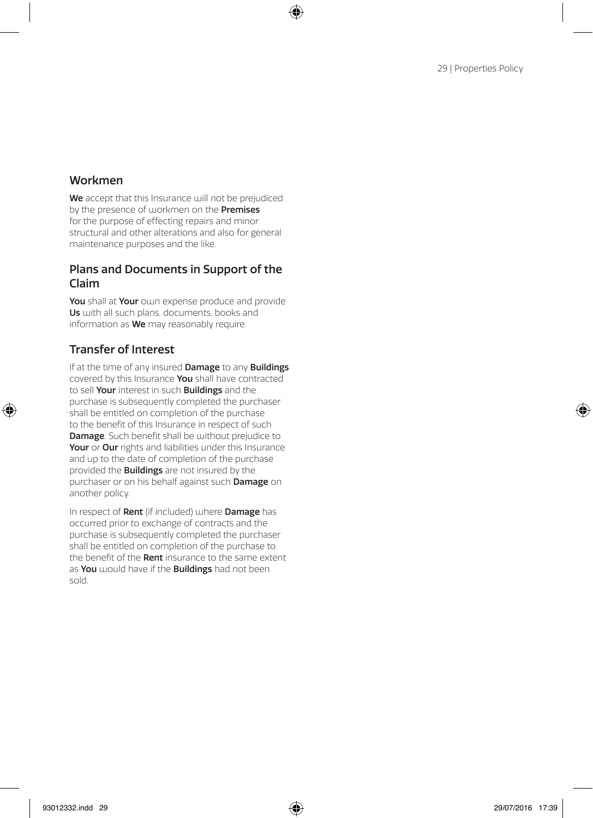### Workmen

We accept that this Insurance will not be prejudiced by the presence of workmen on the **Premises** for the purpose of effecting repairs and minor structural and other alterations and also for general maintenance purposes and the like.

### Plans and Documents in Support of the Claim

You shall at Your own expense produce and provide Us with all such plans, documents, books and information as We may reasonably require.

### Transfer of Interest

If at the time of any insured **Damage** to any **Buildings** covered by this Insurance You shall have contracted to sell Your interest in such Buildings and the purchase is subsequently completed the purchaser shall be entitled on completion of the purchase to the benefit of this Insurance in respect of such Damage. Such benefit shall be without prejudice to Your or Our rights and liabilities under this Insurance and up to the date of completion of the purchase provided the Buildings are not insured by the purchaser or on his behalf against such **Damage** on another policy.

In respect of **Rent** (if included) where **Damage** has occurred prior to exchange of contracts and the purchase is subsequently completed the purchaser shall be entitled on completion of the purchase to the benefit of the Rent insurance to the same extent as You would have if the Buildings had not been sold.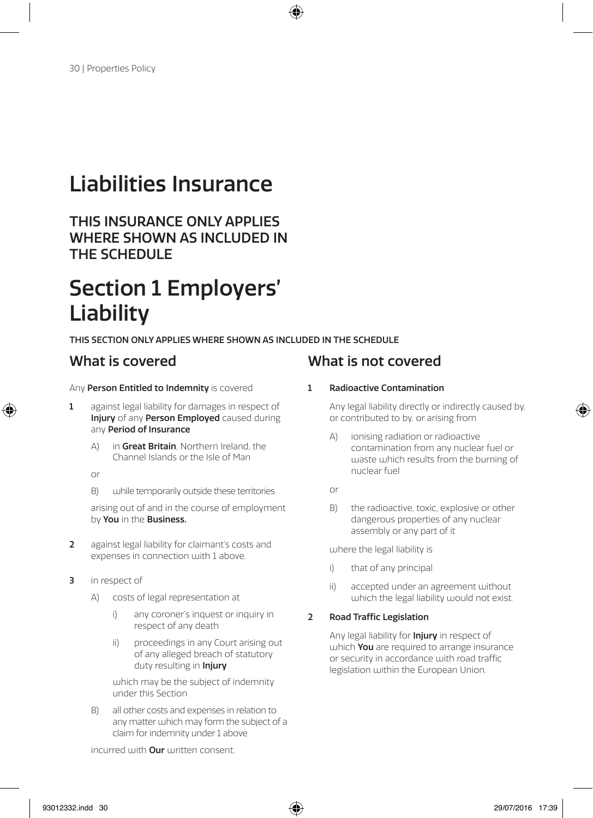# Liabilities Insurance

THIS INSURANCE ONLY APPLIES WHERE SHOWN AS INCLUDED IN THE SCHEDULE

# Section 1 Employers' Liability

#### THIS SECTION ONLY APPLIES WHERE SHOWN AS INCLUDED IN THE SCHEDULE

#### Any Person Entitled to Indemnity is covered

- 1 against legal liability for damages in respect of Injury of any Person Employed caused during any Period of Insurance
	- A) in Great Britain, Northern Ireland, the Channel Islands or the Isle of Man
	- or
	- B) while temporarily outside these territories

arising out of and in the course of employment by You in the Business.

- 2 against legal liability for claimant's costs and expenses in connection with 1 above.
- 3 in respect of
	- A) costs of legal representation at
		- i) any coroner's inquest or inquiry in respect of any death
		- ii) proceedings in any Court arising out of any alleged breach of statutory duty resulting in *Injury*

which may be the subject of indemnity under this Section

B) all other costs and expenses in relation to any matter which may form the subject of a claim for indemnity under 1 above

## What is covered What is not covered

#### 1 Radioactive Contamination

Any legal liability directly or indirectly caused by, or contributed to by, or arising from

- A) ionising radiation or radioactive contamination from any nuclear fuel or waste which results from the burning of nuclear fuel
- or
- B) the radioactive, toxic, explosive or other dangerous properties of any nuclear assembly or any part of it

where the legal liability is

- i) that of any principal
- ii) accepted under an agreement without which the legal liability would not exist.

#### 2 Road Traffic Legislation

Any legal liability for **Injury** in respect of which **You** are required to arrange insurance or security in accordance with road traffic legislation within the European Union.

incurred with **Our** written consent.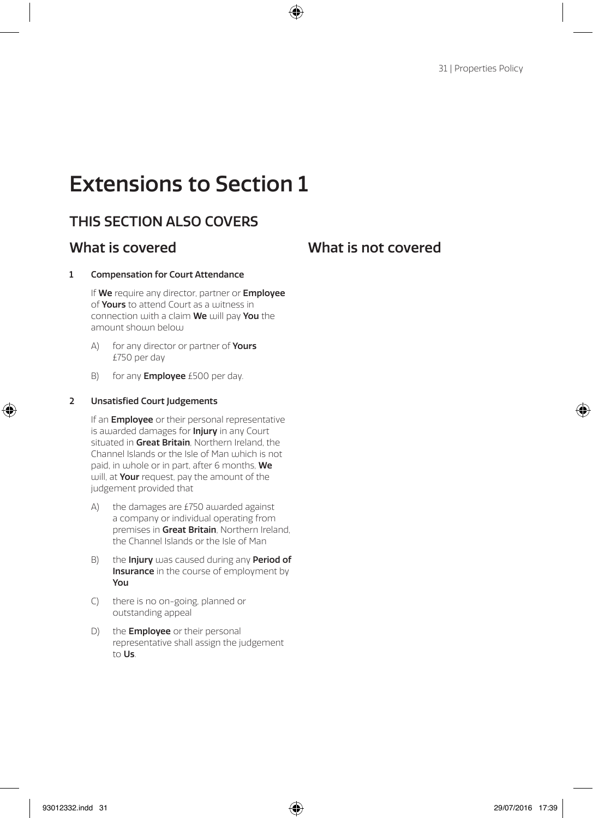# Extensions to Section 1

## THIS SECTION ALSO COVERS

### What is covered What is not covered

#### 1 Compensation for Court Attendance

If We require any director, partner or Employee of Yours to attend Court as a witness in connection with a claim We will pay You the amount shouin below

- A) for any director or partner of **Yours** £750 per day
- B) for any **Employee** £500 per day.

#### 2 Unsatisfied Court Judgements

If an **Employee** or their personal representative is awarded damages for **Injury** in any Court situated in Great Britain, Northern Ireland, the Channel Islands or the Isle of Man which is not paid, in whole or in part, after 6 months, We will, at Your request, pay the amount of the judgement provided that

- A) the damages are £750 awarded against a company or individual operating from premises in Great Britain, Northern Ireland, the Channel Islands or the Isle of Man
- B) the **Injury** was caused during any **Period of Insurance** in the course of employment by You
- C) there is no on-going, planned or outstanding appeal
- D) the **Employee** or their personal representative shall assign the judgement to Us.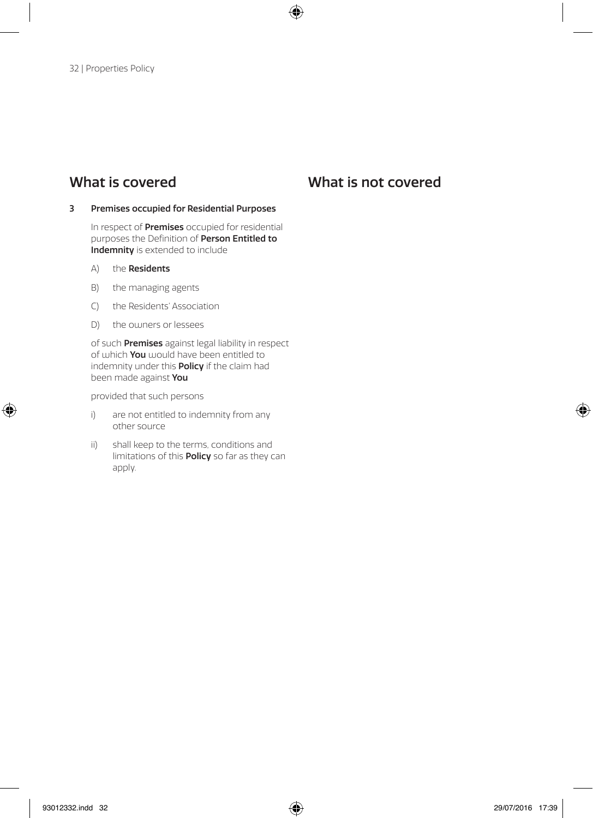#### 3 Premises occupied for Residential Purposes

In respect of Premises occupied for residential purposes the Definition of Person Entitled to Indemnity is extended to include

- A) the Residents
- B) the managing agents
- C) the Residents' Association
- D) the owners or lessees

of such **Premises** against legal liability in respect of which **You** would have been entitled to indemnity under this **Policy** if the claim had been made against You

provided that such persons

- i) are not entitled to indemnity from any other source
- ii) shall keep to the terms, conditions and limitations of this Policy so far as they can apply.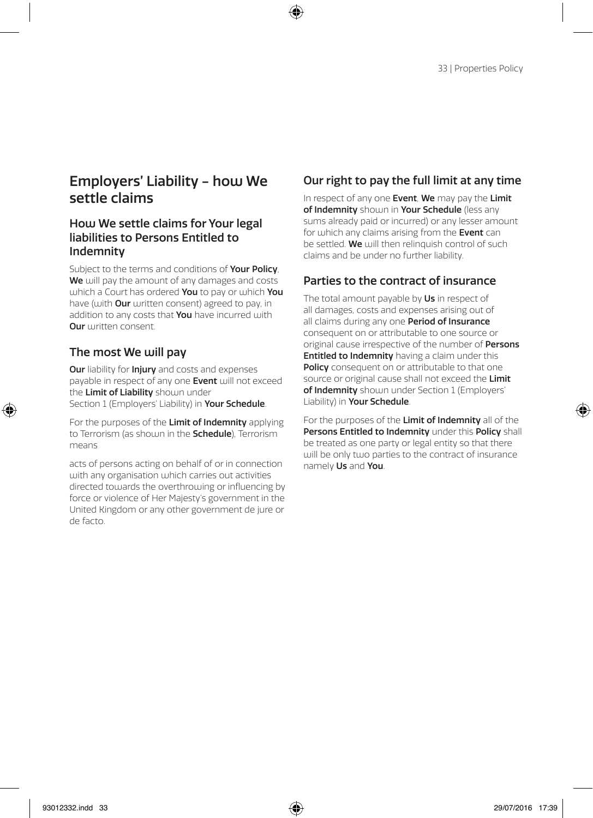### Employers' Liability - how We settle claims

### How We settle claims for Your legal liabilities to Persons Entitled to Indemnity

Subject to the terms and conditions of Your Policy, We will pay the amount of any damages and costs which a Court has ordered You to pay or which You have (with **Our** written consent) agreed to pay, in addition to any costs that You have incurred with Our written consent.

### The most We will pay

**Our** liability for **Injury** and costs and expenses payable in respect of any one **Event** will not exceed the Limit of Liability shoum under Section 1 (Employers' Liability) in Your Schedule.

For the purposes of the Limit of Indemnity applying to Terrorism (as shown in the **Schedule**), Terrorism means

acts of persons acting on behalf of or in connection with any organisation which carries out activities directed towards the overthrowing or influencing by force or violence of Her Majesty's government in the United Kingdom or any other government de jure or de facto.

### Our right to pay the full limit at any time

In respect of any one Event, We may pay the Limit of Indemnity shoum in Your Schedule (less any sums already paid or incurred) or any lesser amount for which any claims arising from the Event can be settled. We will then relinquish control of such claims and be under no further liability.

### Parties to the contract of insurance

The total amount payable by Us in respect of all damages, costs and expenses arising out of all claims during any one Period of Insurance consequent on or attributable to one source or original cause irrespective of the number of Persons **Entitled to Indemnity** having a claim under this Policy consequent on or attributable to that one source or original cause shall not exceed the Limit of Indemnity shown under Section 1 (Employers' Liability) in Your Schedule.

For the purposes of the Limit of Indemnity all of the Persons Entitled to Indemnity under this Policy shall be treated as one party or legal entity so that there will be only two parties to the contract of insurance namely Us and You.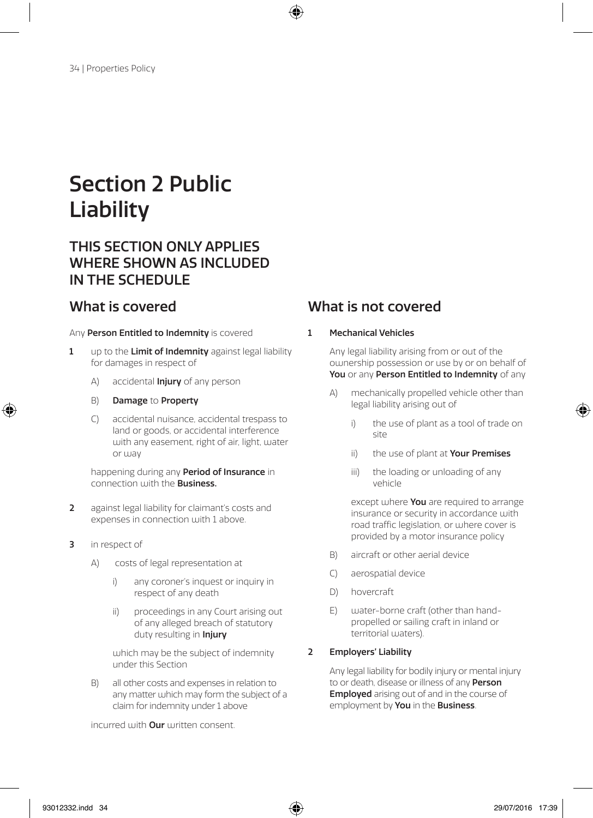# Section 2 Public **Liability**

## THIS SECTION ONLY APPLIES WHERE SHOWN AS INCLUDED IN THE SCHEDULE

#### Any Person Entitled to Indemnity is covered

- 1 up to the Limit of Indemnity against legal liability for damages in respect of
	- A) accidental **Injury** of any person
	- B) Damage to Property
	- C) accidental nuisance, accidental trespass to land or goods, or accidental interference with any easement, right of air, light, water or way

happening during any Period of Insurance in connection with the **Business**.

- 2 against legal liability for claimant's costs and expenses in connection with 1 above.
- 3 in respect of
	- A) costs of legal representation at
		- i) any coroner's inquest or inquiry in respect of any death
		- ii) proceedings in any Court arising out of any alleged breach of statutory duty resulting in *Injury*

which may be the subject of indemnity under this Section

B) all other costs and expenses in relation to any matter which may form the subject of a claim for indemnity under 1 above

incurred with **Our** written consent.

## What is covered What is not covered

#### 1 Mechanical Vehicles

Any legal liability arising from or out of the ownership possession or use by or on behalf of You or any Person Entitled to Indemnity of any

- A) mechanically propelled vehicle other than legal liability arising out of
	- i) the use of plant as a tool of trade on site
	- ii) the use of plant at Your Premises
	- iii) the loading or unloading of any vehicle

except where You are required to arrange insurance or security in accordance with road traffic legislation, or where cover is provided by a motor insurance policy

- B) aircraft or other aerial device
- C) aerospatial device
- D) hovercraft
- E) water-borne craft (other than handpropelled or sailing craft in inland or territorial waters)

#### 2 Employers' Liability

Any legal liability for bodily injury or mental injury to or death, disease or illness of any **Person Employed** arising out of and in the course of employment by You in the Business.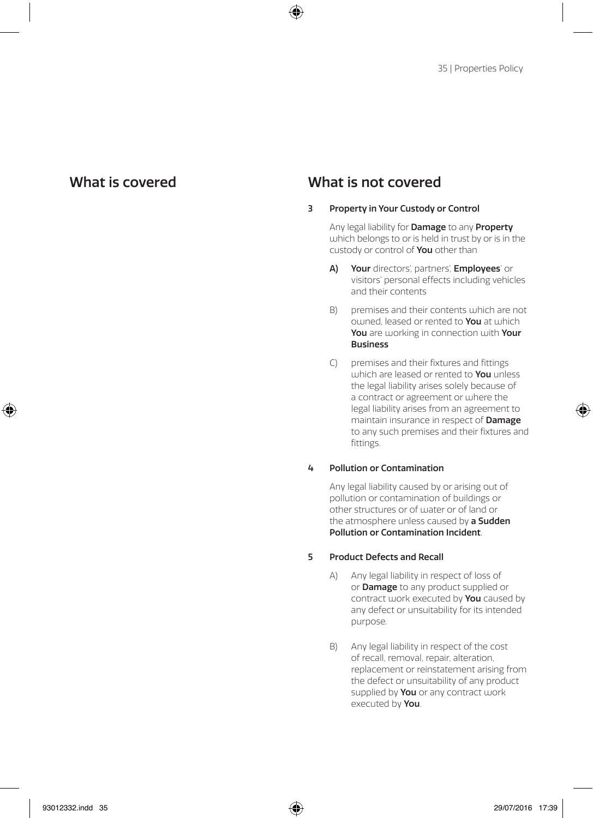#### 3 Property in Your Custody or Control

Any legal liability for Damage to any Property which belongs to or is held in trust by or is in the custody or control of You other than

- A) Your directors', partners', Employees' or visitors' personal effects including vehicles and their contents
- B) premises and their contents which are not owned, leased or rented to You at which You are working in connection with Your Business
- C) premises and their fixtures and fittings which are leased or rented to **You** unless the legal liability arises solely because of a contract or agreement or where the legal liability arises from an agreement to maintain insurance in respect of Damage to any such premises and their fixtures and fittings.

#### 4 Pollution or Contamination

Any legal liability caused by or arising out of pollution or contamination of buildings or other structures or of water or of land or the atmosphere unless caused by a Sudden Pollution or Contamination Incident.

#### 5 Product Defects and Recall

- A) Any legal liability in respect of loss of or **Damage** to any product supplied or contract work executed by You caused by any defect or unsuitability for its intended purpose.
- B) Any legal liability in respect of the cost of recall, removal, repair, alteration, replacement or reinstatement arising from the defect or unsuitability of any product supplied by You or any contract work executed by You.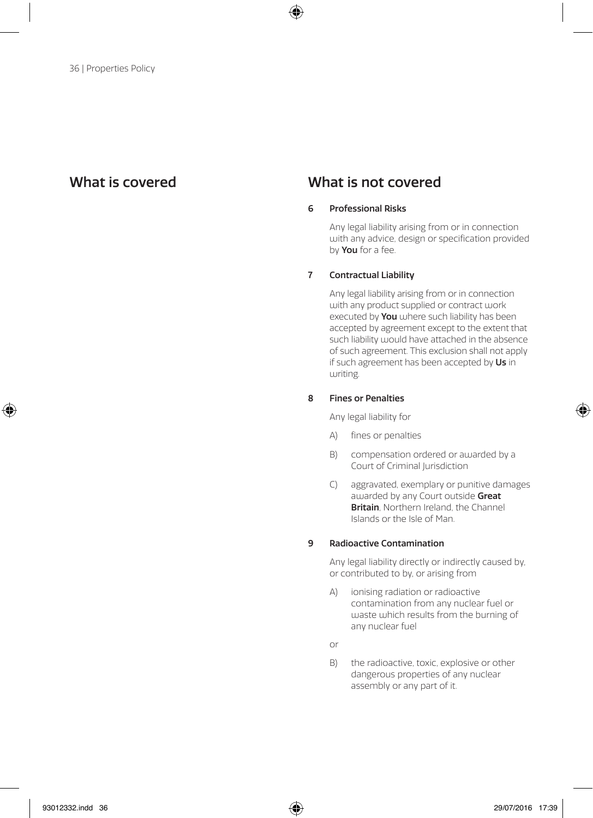#### 6 Professional Risks

Any legal liability arising from or in connection with any advice, design or specification provided by **You** for a fee.

#### 7 Contractual Liability

Any legal liability arising from or in connection with any product supplied or contract work executed by You where such liability has been accepted by agreement except to the extent that such liability would have attached in the absence of such agreement. This exclusion shall not apply if such agreement has been accepted by Us in  $uritin<sub>g</sub>$ 

#### 8 Fines or Penalties

Any legal liability for

- A) fines or penalties
- B) compensation ordered or awarded by a Court of Criminal Jurisdiction
- C) aggravated, exemplary or punitive damages awarded by any Court outside Great **Britain**, Northern Ireland, the Channel Islands or the Isle of Man.

#### 9 Radioactive Contamination

Any legal liability directly or indirectly caused by, or contributed to by, or arising from

- A) ionising radiation or radioactive contamination from any nuclear fuel or waste which results from the burning of any nuclear fuel
- or
- B) the radioactive, toxic, explosive or other dangerous properties of any nuclear assembly or any part of it.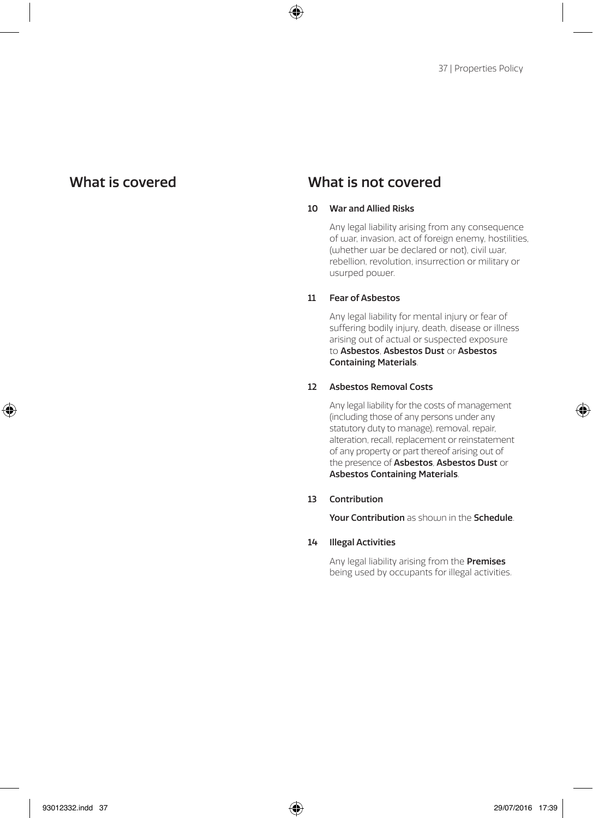#### 10 War and Allied Risks

Any legal liability arising from any consequence of war, invasion, act of foreign enemy, hostilities, (whether war be declared or not), civil war, rebellion, revolution, insurrection or military or usurped power.

#### 11 Fear of Asbestos

Any legal liability for mental injury or fear of suffering bodily injury, death, disease or illness arising out of actual or suspected exposure to Asbestos, Asbestos Dust or Asbestos Containing Materials.

#### 12 Asbestos Removal Costs

Any legal liability for the costs of management (including those of any persons under any statutory duty to manage), removal, repair, alteration, recall, replacement or reinstatement of any property or part thereof arising out of the presence of Asbestos, Asbestos Dust or Asbestos Containing Materials.

#### 13 Contribution

Your Contribution as shoum in the Schedule.

#### 14 Illegal Activities

Any legal liability arising from the **Premises** being used by occupants for illegal activities.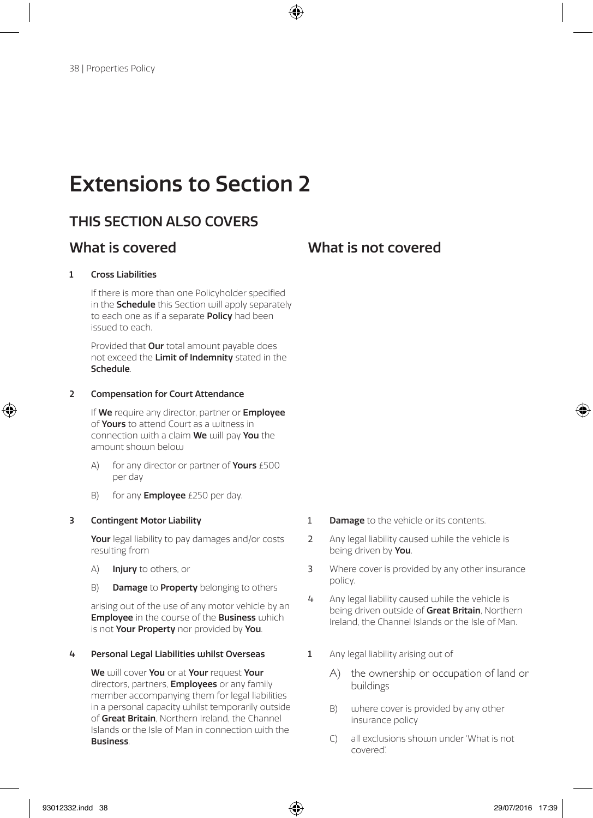# Extensions to Section 2

## THIS SECTION ALSO COVERS

## What is covered What is not covered

#### 1 Cross Liabilities

If there is more than one Policyholder specified in the **Schedule** this Section will apply separately to each one as if a separate **Policy** had been issued to each.

Provided that Our total amount payable does not exceed the Limit of Indemnity stated in the Schedule.

#### 2 Compensation for Court Attendance

If We require any director, partner or Employee of Yours to attend Court as a witness in connection with a claim We will pay You the amount shouin below

- A) for any director or partner of **Yours** £500 per day
- B) for any **Employee**  $£250$  per day.

#### 3 Contingent Motor Liability

Your legal liability to pay damages and/or costs resulting from

- A) Injury to others, or
- B) Damage to Property belonging to others

arising out of the use of any motor vehicle by an **Employee** in the course of the **Business** which is not Your Property nor provided by You.

#### 4 Personal Legal Liabilities whilst Overseas

We will cover You or at Your request Your directors, partners, **Employees** or any family member accompanying them for legal liabilities in a personal capacity whilst temporarily outside of Great Britain, Northern Ireland, the Channel Islands or the Isle of Man in connection with the Business.

- **1** Damage to the vehicle or its contents.
- 2 Any legal liability caused while the vehicle is being driven by You.
- 3 Where cover is provided by any other insurance policy.
- 4 Any legal liability caused while the vehicle is being driven outside of Great Britain, Northern Ireland, the Channel Islands or the Isle of Man.
- 1 Any legal liability arising out of
	- A) the ownership or occupation of land or buildings
	- B) uphere cover is provided by any other insurance policy
	- C) all exclusions should under 'What is not covered'.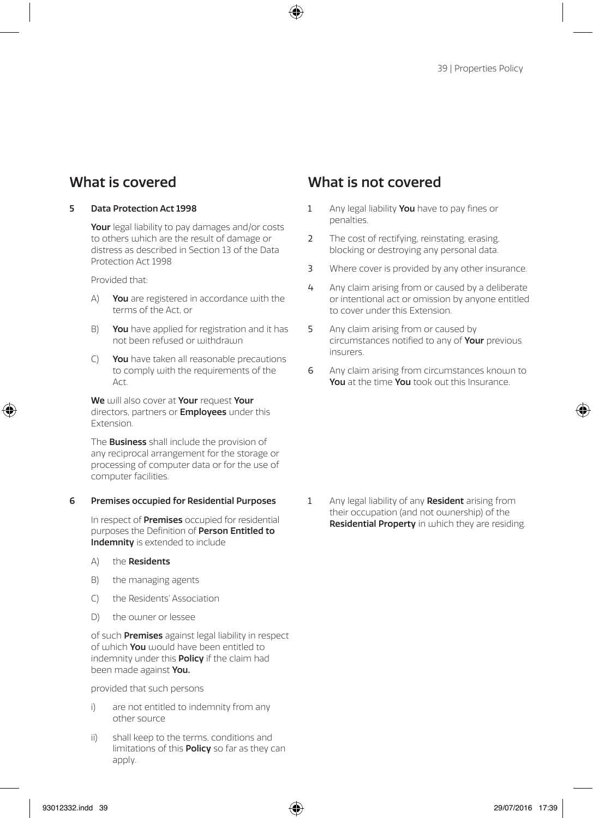#### 5 Data Protection Act 1998

Your legal liability to pay damages and/or costs to others which are the result of damage or distress as described in Section 13 of the Data Protection Act 1998

Provided that:

- A) You are registered in accordance with the terms of the Act, or
- B) You have applied for registration and it has not been refused or withdrawn
- C) You have taken all reasonable precautions to comply with the requirements of the  $\Delta$ ct

We will also cover at Your request Your directors, partners or **Employees** under this Extension.

The **Business** shall include the provision of any reciprocal arrangement for the storage or processing of computer data or for the use of computer facilities.

#### 6 Premises occupied for Residential Purposes

In respect of **Premises** occupied for residential purposes the Definition of Person Entitled to Indemnity is extended to include

- A) the Residents
- B) the managing agents
- C) the Residents' Association
- D) the owner or lessee

of such **Premises** against legal liability in respect of which You would have been entitled to indemnity under this **Policy** if the claim had been made against You.

provided that such persons

- i) are not entitled to indemnity from any other source
- ii) shall keep to the terms, conditions and limitations of this **Policy** so far as they can apply.

### What is covered What is not covered

- 1 Any legal liability You have to pay fines or penalties.
- 2 The cost of rectifying, reinstating, erasing, blocking or destroying any personal data.
- 3 Where cover is provided by any other insurance.
- 4 Any claim arising from or caused by a deliberate or intentional act or omission by anyone entitled to cover under this Extension.
- 5 Any claim arising from or caused by circumstances notified to any of Your previous insurers.
- 6 Any claim arising from circumstances known to You at the time You took out this Insurance.

1 Any legal liability of any **Resident** arising from their occupation (and not ownership) of the Residential Property in which they are residing.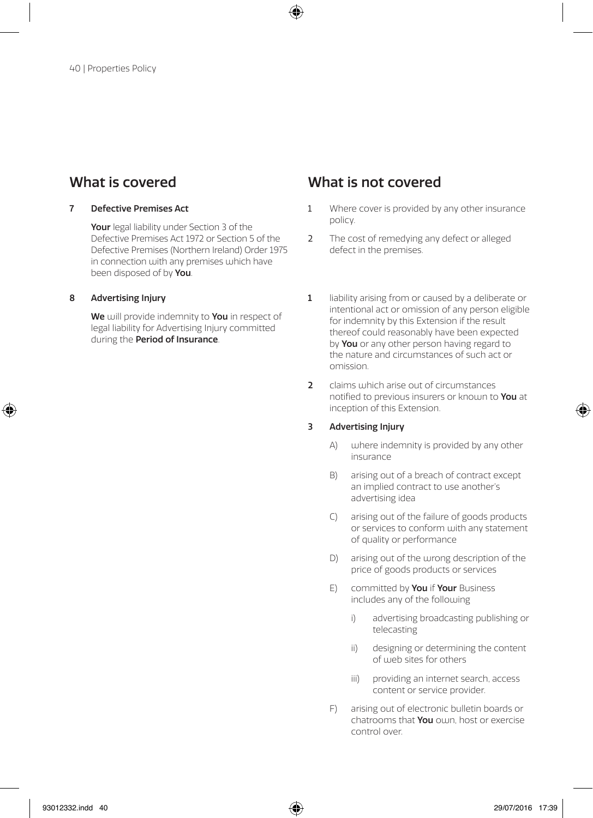#### 7 Defective Premises Act

Your legal liability under Section 3 of the Defective Premises Act 1972 or Section 5 of the Defective Premises (Northern Ireland) Order 1975 in connection with any premises which have been disposed of by You.

#### 8 Advertising Injury

We will provide indemnity to You in respect of legal liability for Advertising Injury committed during the **Period of Insurance**.

### What is covered What is not covered

- 1 Where cover is provided by any other insurance policy.
- 2 The cost of remedying any defect or alleged defect in the premises.
- 1 liability arising from or caused by a deliberate or intentional act or omission of any person eligible for indemnity by this Extension if the result thereof could reasonably have been expected by **You** or any other person having regard to the nature and circumstances of such act or omission.
- 2 claims which arise out of circumstances notified to previous insurers or known to You at inception of this Extension.

#### 3 Advertising Injury

- A) where indemnity is provided by any other insurance
- B) arising out of a breach of contract except an implied contract to use another's advertising idea
- C) arising out of the failure of goods products or services to conform with any statement of quality or performance
- D) arising out of the wrong description of the price of goods products or services
- E) committed by **You** if **Your** Business includes any of the following
	- i) advertising broadcasting publishing or telecasting
	- ii) designing or determining the content of web sites for others
	- iii) providing an internet search, access content or service provider.
- F) arising out of electronic bulletin boards or chatrooms that You own, host or exercise control over.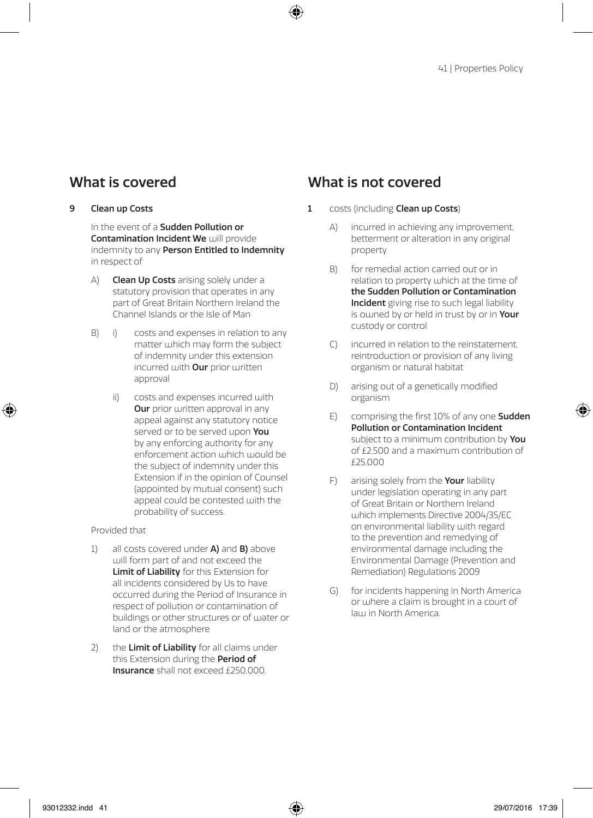#### 9 Clean up Costs

In the event of a **Sudden Pollution or** Contamination Incident We will provide indemnity to any **Person Entitled to Indemnity** in respect of

- A) **Clean Up Costs** arising solely under a statutory provision that operates in any part of Great Britain Northern Ireland the Channel Islands or the Isle of Man
- B) i) costs and expenses in relation to any matter which may form the subject of indemnity under this extension incurred with **Our** prior written approval
	- ii) costs and expenses incurred with **Our** prior written approval in any appeal against any statutory notice served or to be served upon You by any enforcing authority for any enforcement action which would be the subject of indemnity under this Extension if in the opinion of Counsel (appointed by mutual consent) such appeal could be contested with the probability of success.

#### Provided that

- 1) all costs covered under  $A$ ) and  $B$ ) above will form part of and not exceed the Limit of Liability for this Extension for all incidents considered by Us to have occurred during the Period of Insurance in respect of pollution or contamination of buildings or other structures or of water or land or the atmosphere
- 2) the Limit of Liability for all claims under this Extension during the **Period of** Insurance shall not exceed £250,000.

- 1 costs (including **Clean up Costs**)
	- A) incurred in achieving any improvement, betterment or alteration in any original property
	- B) for remedial action carried out or in relation to property which at the time of the Sudden Pollution or Contamination Incident giving rise to such legal liability is owned by or held in trust by or in Your custody or control
	- C) incurred in relation to the reinstatement, reintroduction or provision of any living organism or natural habitat
	- D) arising out of a genetically modified organism
	- E) comprising the first 10% of any one Sudden Pollution or Contamination Incident subject to a minimum contribution by You of £2,500 and a maximum contribution of £25,000
	- F) arising solely from the **Your** liability under legislation operating in any part of Great Britain or Northern Ireland which implements Directive 2004/35/EC on environmental liability with regard to the prevention and remedying of environmental damage including the Environmental Damage (Prevention and Remediation) Regulations 2009
	- G) for incidents happening in North America or where a claim is brought in a court of law in North America.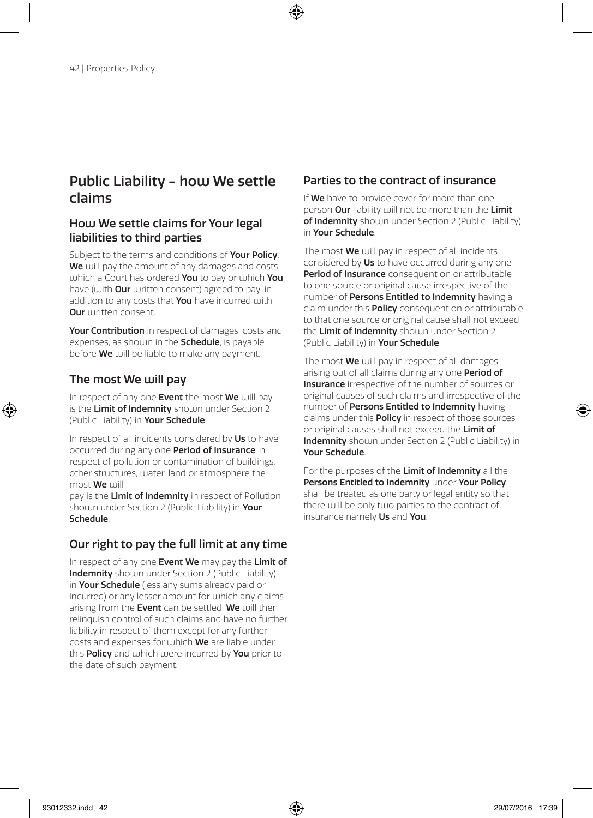### Public Liability - how We settle claims

### How We settle claims for Your legal liabilities to third parties

Subject to the terms and conditions of **Your Policy**. We will pay the amount of any damages and costs which a Court has ordered You to pay or which You have (with **Our** written consent) agreed to pay, in addition to any costs that **You** have incurred with **Our** written consent.

Your Contribution in respect of damages, costs and expenses, as shown in the **Schedule**, is payable before We will be liable to make any payment.

### The most We will pay

In respect of any one Event the most  $We$  will pay is the Limit of Indemnity should under Section 2 (Public Liability) in Your Schedule.

In respect of all incidents considered by Us to have occurred during any one Period of Insurance in respect of pollution or contamination of buildings, other structures, water, land or atmosphere the most We will

pay is the Limit of Indemnity in respect of Pollution shown under Section 2 (Public Liability) in Your Schedule.

### Our right to pay the full limit at any time

In respect of any one Event We may pay the Limit of Indemnity shown under Section 2 (Public Liability) in Your Schedule (less any sums already paid or incurred) or any lesser amount for which any claims arising from the Event can be settled. We will then relinquish control of such claims and have no further liability in respect of them except for any further costs and expenses for which We are liable under this Policy and which were incurred by You prior to the date of such payment.

### Parties to the contract of insurance

If We have to provide cover for more than one person Our liability will not be more than the Limit of Indemnity shown under Section 2 (Public Liability) in Your Schedule.

The most We will nay in respect of all incidents considered by Us to have occurred during any one Period of Insurance consequent on or attributable to one source or original cause irrespective of the number of **Persons Entitled to Indemnity** having a claim under this **Policy** consequent on or attributable to that one source or original cause shall not exceed the Limit of Indemnity shown under Section 2 (Public Liability) in Your Schedule.

The most **We** will pay in respect of all damages arising out of all claims during any one **Period of** Insurance irrespective of the number of sources or original causes of such claims and irrespective of the number of **Persons Entitled to Indemnity** having claims under this Policy in respect of those sources or original causes shall not exceed the Limit of Indemnity shown under Section 2 (Public Liability) in Your Schedule.

For the purposes of the Limit of Indemnity all the Persons Entitled to Indemnity under Your Policy shall be treated as one party or legal entity so that there will be only two parties to the contract of insurance namely Us and You.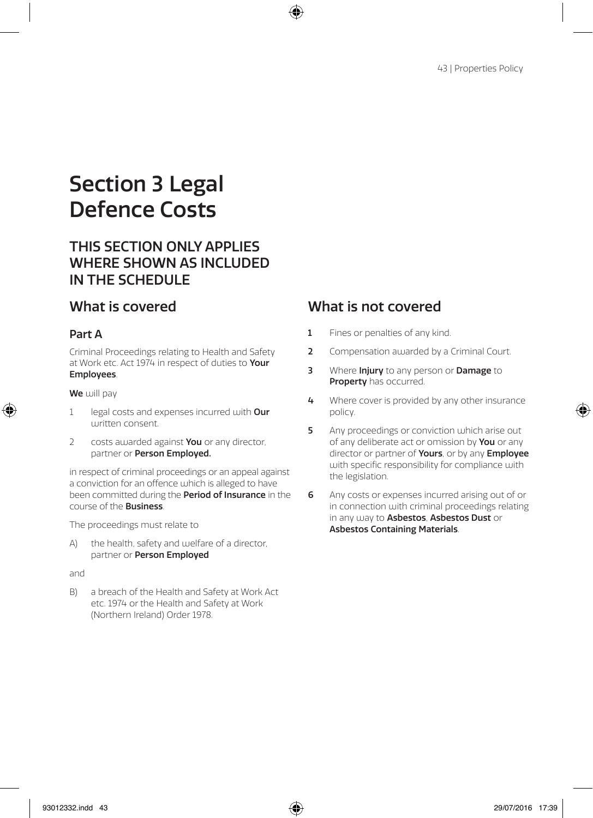# Section 3 Legal Defence Costs

## THIS SECTION ONLY APPLIES WHERE SHOWN AS INCLUDED IN THE SCHEDULE

### Part A

Criminal Proceedings relating to Health and Safety at Work etc. Act 1974 in respect of duties to Your Employees.

#### We will pay

- 1 legal costs and expenses incurred with Our written consent
- 2 costs awarded against You or any director, partner or Person Employed.

in respect of criminal proceedings or an appeal against a conviction for an offence which is alleged to have been committed during the **Period of Insurance** in the course of the Business.

The proceedings must relate to

A) the health, safety and welfare of a director, partner or Person Employed

and

B) a breach of the Health and Safety at Work Act etc. 1974 or the Health and Safety at Work (Northern Ireland) Order 1978.

- 1 Fines or penalties of any kind.
- 2 Compensation awarded by a Criminal Court.
- 3 Where Injury to any person or Damage to Property has occurred.
- 4 Where cover is provided by any other insurance policy.
- 5 Any proceedings or conviction which arise out of any deliberate act or omission by You or any director or partner of Yours, or by any Employee with specific responsibility for compliance with the legislation.
- 6 Any costs or expenses incurred arising out of or in connection with criminal proceedings relating in any way to Asbestos, Asbestos Dust or Asbestos Containing Materials.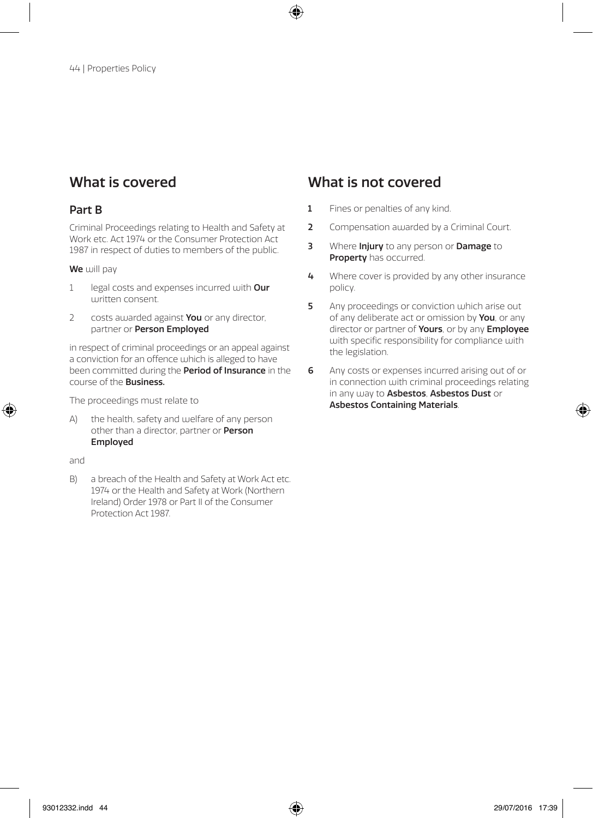#### Part B

Criminal Proceedings relating to Health and Safety at Work etc. Act 1974 or the Consumer Protection Act 1987 in respect of duties to members of the public.

#### We will pay

- 1 legal costs and expenses incurred with Our written consent.
- 2 costs awarded against **You** or any director, partner or Person Employed

in respect of criminal proceedings or an appeal against a conviction for an offence which is alleged to have been committed during the **Period of Insurance** in the course of the Business.

The proceedings must relate to

A) the health, safety and welfare of any person other than a director, partner or Person Employed

and

B) a breach of the Health and Safety at Work Act etc. 1974 or the Health and Safety at Work (Northern Ireland) Order 1978 or Part II of the Consumer Protection Act 1987.

- 1 Fines or penalties of any kind.
- 2 Compensation awarded by a Criminal Court.
- 3 Where Injury to any person or Damage to Property has occurred.
- 4 Where cover is provided by any other insurance policy.
- 5 Any proceedings or conviction which arise out of any deliberate act or omission by **You**, or any director or partner of Yours, or by any Employee with specific responsibility for compliance with the legislation.
- 6 Any costs or expenses incurred arising out of or in connection with criminal proceedings relating in any way to Asbestos, Asbestos Dust or Asbestos Containing Materials.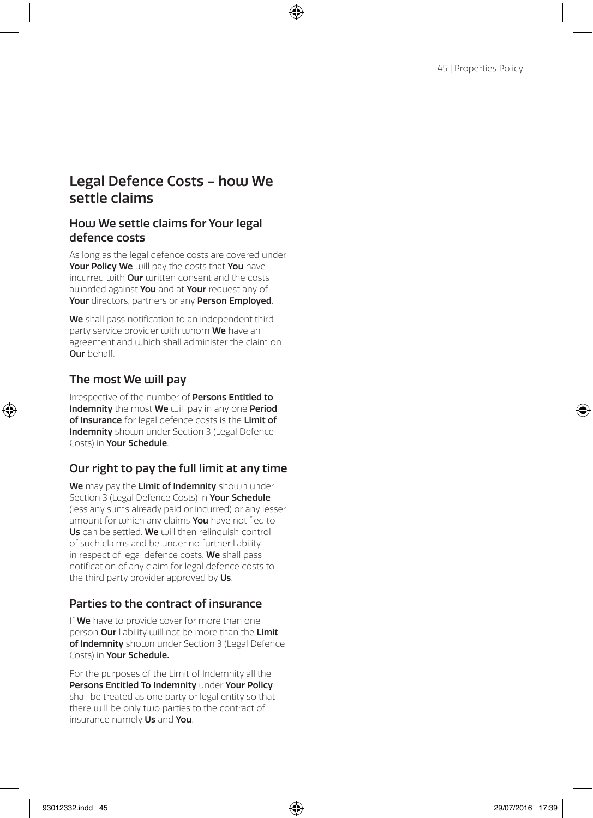### Legal Defence Costs - how We settle claims

### How We settle claims for Your legal defence costs

As long as the legal defence costs are covered under Your Policy We will pay the costs that You have incurred with **Our** written consent and the costs awarded against You and at Your request any of Your directors, partners or any Person Employed.

We shall pass notification to an independent third party service provider with whom We have an agreement and which shall administer the claim on Our behalf.

### The most We will pay

Irrespective of the number of Persons Entitled to Indemnity the most We will pay in any one Period of Insurance for legal defence costs is the Limit of Indemnity should under Section 3 (Legal Defence Costs) in Your Schedule.

### Our right to pay the full limit at any time

We may pay the Limit of Indemnity shown under Section 3 (Legal Defence Costs) in Your Schedule (less any sums already paid or incurred) or any lesser amount for which any claims You have notified to Us can be settled. We will then relinquish control of such claims and be under no further liability in respect of legal defence costs. We shall pass notification of any claim for legal defence costs to the third party provider approved by Us.

### Parties to the contract of insurance

If We have to provide cover for more than one person Our liability will not be more than the Limit of Indemnity shown under Section 3 (Legal Defence Costs) in Your Schedule.

For the purposes of the Limit of Indemnity all the Persons Entitled To Indemnity under Your Policy shall be treated as one party or legal entity so that there will be only two parties to the contract of insurance namely Us and You.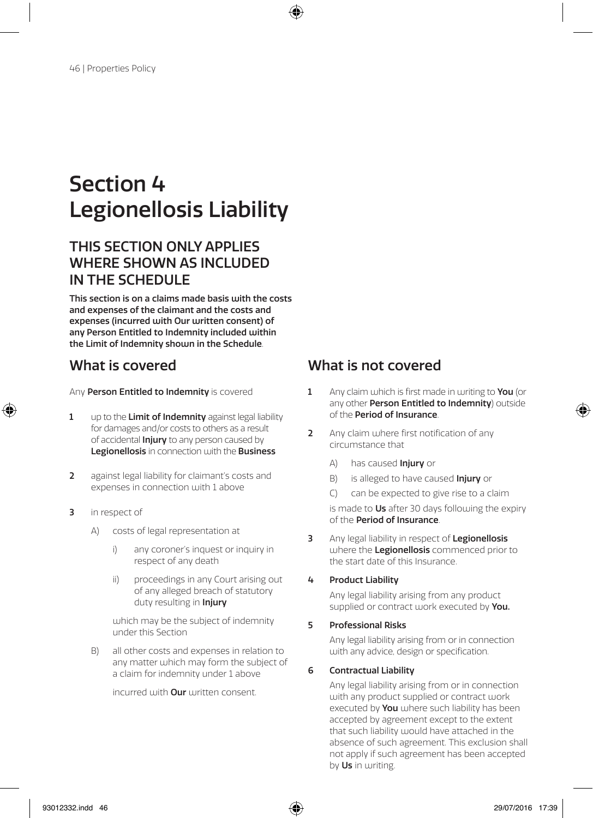# Section 4 Legionellosis Liability

## THIS SECTION ONLY APPLIES WHERE SHOWN AS INCLUDED IN THE SCHEDULE

This section is on a claims made basis with the costs and expenses of the claimant and the costs and expenses (incurred with Our written consent) of any Person Entitled to Indemnity included within the Limit of Indemnity shown in the Schedule.

- 1 up to the Limit of Indemnity against legal liability for damages and/or costs to others as a result of accidental **Injury** to any person caused by Legionellosis in connection with the Business
- 2 against legal liability for claimant's costs and expenses in connection with 1 above
- 3 in respect of
	- A) costs of legal representation at
		- i) any coroner's inquest or inquiry in respect of any death
		- ii) proceedings in any Court arising out of any alleged breach of statutory duty resulting in *Injury*

which may be the subject of indemnity under this Section

B) all other costs and expenses in relation to any matter which may form the subject of a claim for indemnity under 1 above

incurred with **Our** written consent.

## What is covered What is not covered

- Any **Person Entitled to Indemnity** is covered 1 Any claim which is first made in writing to You (or any other **Person Entitled to Indemnity**) outside of the Period of Insurance.
	- 2 Any claim where first notification of any circumstance that
		- A) has caused **Injury** or
		- B) is alleged to have caused **Injury** or
		- C) can be expected to give rise to a claim

is made to Us after 30 days following the expiry of the Period of Insurance.

3 Any legal liability in respect of Legionellosis where the Legionellosis commenced prior to the start date of this Insurance.

#### 4 Product Liability

Any legal liability arising from any product supplied or contract work executed by You.

#### 5 Professional Risks

Any legal liability arising from or in connection with any advice, design or specification.

#### 6 Contractual Liability

Any legal liability arising from or in connection with any product supplied or contract work executed by **You** where such liability has been accepted by agreement except to the extent that such liability would have attached in the absence of such agreement. This exclusion shall not apply if such agreement has been accepted by Us in writing.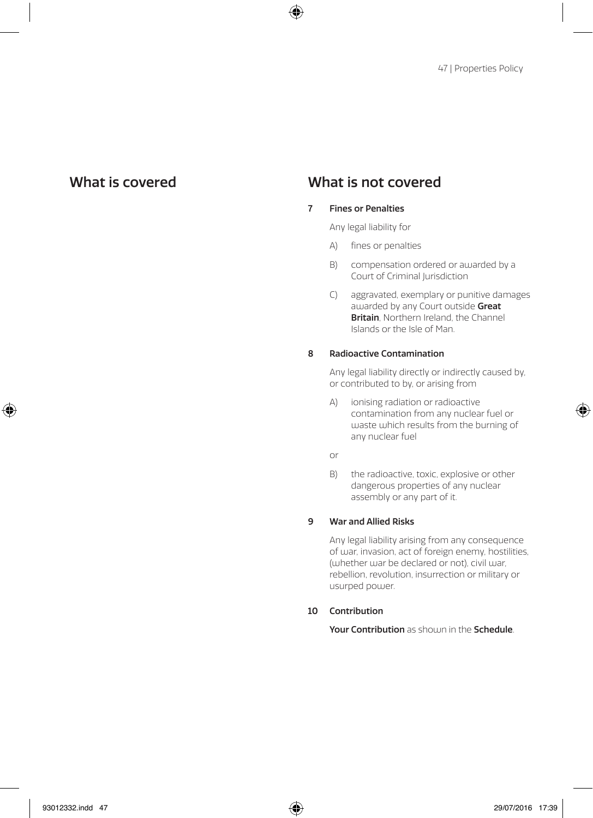#### 7 Fines or Penalties

Any legal liability for

- A) fines or penalties
- B) compensation ordered or awarded by a Court of Criminal Jurisdiction
- C) aggravated, exemplary or punitive damages au arded by any Court outside Great Britain, Northern Ireland, the Channel Islands or the Isle of Man.

#### 8 Radioactive Contamination

Any legal liability directly or indirectly caused by, or contributed to by, or arising from

A) ionising radiation or radioactive contamination from any nuclear fuel or waste which results from the burning of any nuclear fuel

or

B) the radioactive, toxic, explosive or other dangerous properties of any nuclear assembly or any part of it.

#### 9 War and Allied Risks

 Any legal liability arising from any consequence of war, invasion, act of foreign enemy, hostilities, (whether war be declared or not), civil war, rebellion, revolution, insurrection or military or usurped power.

#### 10 Contribution

Your Contribution as should in the Schedule.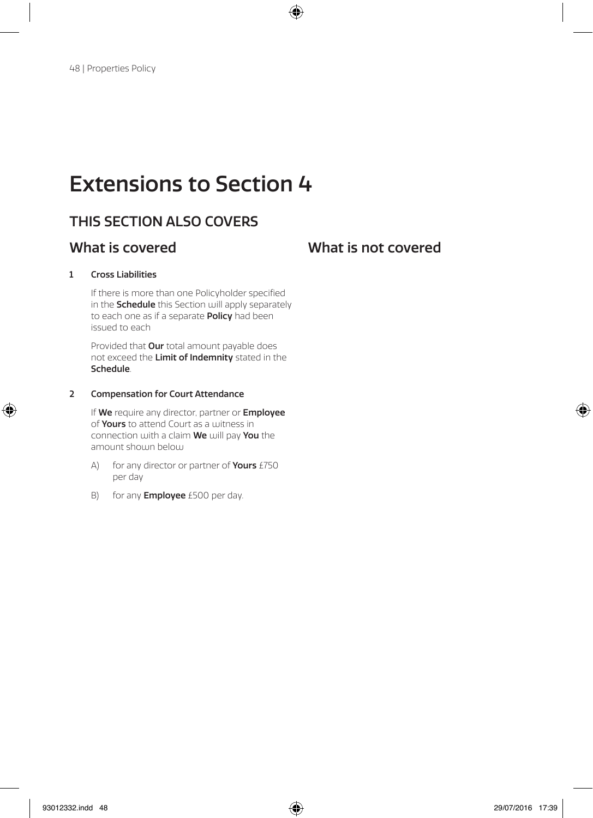# Extensions to Section 4

## THIS SECTION ALSO COVERS

### What is covered **What is not covered**

#### 1 Cross Liabilities

If there is more than one Policyholder specified in the **Schedule** this Section will apply separately to each one as if a separate Policy had been issued to each

Provided that **Our** total amount payable does not exceed the Limit of Indemnity stated in the Schedule.

#### 2 Compensation for Court Attendance

If We require any director, partner or Employee of Yours to attend Court as a witness in connection with a claim We will pay You the amount shouin below

- A) for any director or partner of **Yours**  $£750$ per day
- B) for any **Employee** £500 per day.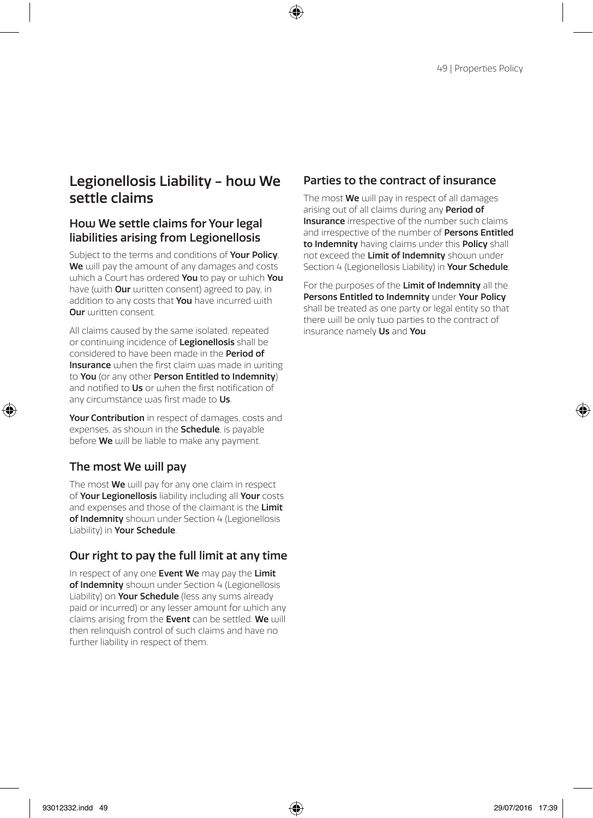## Legionellosis Liability - how We settle claims

### How We settle claims for Your legal liabilities arising from Legionellosis

Subject to the terms and conditions of **Your Policy**. We will pay the amount of any damages and costs which a Court has ordered You to pay or which You have (with **Our** written consent) agreed to pay, in addition to any costs that **You** have incurred with **Our** written consent.

All claims caused by the same isolated, repeated or continuing incidence of Legionellosis shall be considered to have been made in the Period of Insurance when the first claim was made in writing to You (or any other Person Entitled to Indemnity) and notified to **Us** or when the first notification of any circumstance was first made to Us.

Your Contribution in respect of damages, costs and expenses, as shown in the **Schedule**, is payable before **We** will be liable to make any payment.

### The most We will pay

The most **We** will pay for any one claim in respect of Your Legionellosis liability including all Your costs and expenses and those of the claimant is the Limit of Indemnity shown under Section 4 (Legionellosis Liability) in Your Schedule.

### Our right to pay the full limit at any time

In respect of any one Event We may pay the Limit of Indemnity shown under Section 4 (Legionellosis Liability) on **Your Schedule** (less any sums already paid or incurred) or any lesser amount for which any claims arising from the Event can be settled. We will then relinquish control of such claims and have no further liability in respect of them.

### Parties to the contract of insurance

The most **We** will pay in respect of all damages arising out of all claims during any **Period of** Insurance irrespective of the number such claims and irrespective of the number of **Persons Entitled** to Indemnity having claims under this Policy shall not exceed the **Limit of Indemnity** shoum under Section 4 (Legionellosis Liability) in Your Schedule.

For the purposes of the Limit of Indemnity all the Persons Entitled to Indemnity under Your Policy shall be treated as one party or legal entity so that there will be only two parties to the contract of insurance namely Us and You.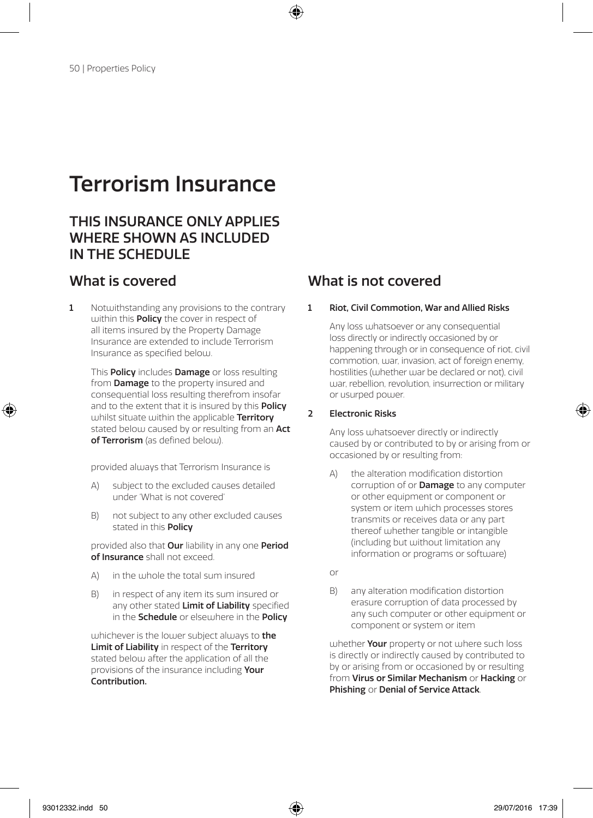# Terrorism Insurance

## THIS INSURANCE ONLY APPLIES WHERE SHOWN AS INCLUDED IN THE SCHEDULE

1 Notwithstanding any provisions to the contrary within this **Policy** the cover in respect of all items insured by the Property Damage Insurance are extended to include Terrorism Insurance as specified below.

 This Policy includes Damage or loss resulting from **Damage** to the property insured and consequential loss resulting therefrom insofar and to the extent that it is insured by this **Policy** whilst situate within the applicable Territory stated below caused by or resulting from an **Act** of Terrorism (as defined below).

provided always that Terrorism Insurance is

- A) subject to the excluded causes detailed under 'What is not covered'
- B) not subject to any other excluded causes stated in this **Policy**

provided also that Our liability in any one Period of Insurance shall not exceed.

- A) in the whole the total sum insured
- B) in respect of any item its sum insured or any other stated Limit of Liability specified in the **Schedule** or elsewhere in the **Policy**

whichever is the lower subject always to **the** Limit of Liability in respect of the Territory stated below after the application of all the provisions of the insurance including Your Contribution.

## What is covered What is not covered

#### 1 Riot, Civil Commotion, War and Allied Risks

 Any loss whatsoever or any consequential loss directly or indirectly occasioned by or happening through or in consequence of riot, civil commotion, war, invasion, act of foreign enemy, hostilities (whether war be declared or not), civil war, rebellion, revolution, insurrection or military or usurped power.

#### 2 Electronic Risks

 Any loss whatsoever directly or indirectly caused by or contributed to by or arising from or occasioned by or resulting from:

- A) the alteration modification distortion corruption of or **Damage** to any computer or other equipment or component or system or item which processes stores transmits or receives data or any part thereof whether tangible or intangible (including but without limitation any information or programs or software)
- or
- B) any alteration modification distortion erasure corruption of data processed by any such computer or other equipment or component or system or item

whether **Your** property or not where such loss is directly or indirectly caused by contributed to by or arising from or occasioned by or resulting from Virus or Similar Mechanism or Hacking or Phishing or Denial of Service Attack.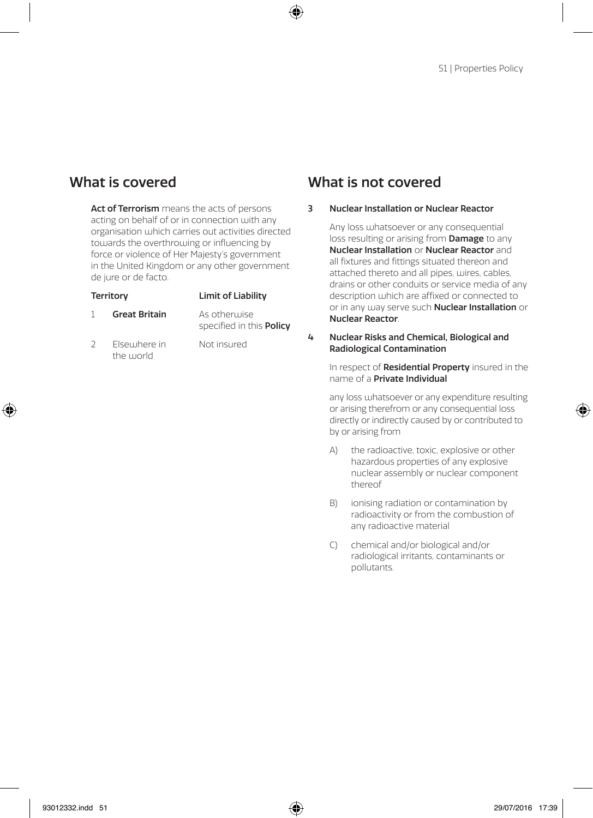Act of Terrorism means the acts of persons acting on behalf of or in connection with any organisation which carries out activities directed towards the overthrowing or influencing by force or violence of Her Majesty's government in the United Kingdom or any other government de jure or de facto.

| <b>Territory</b> |                      | Limit of Liability                              |
|------------------|----------------------|-------------------------------------------------|
|                  | <b>Great Britain</b> | As otherwise<br>specified in this <b>Policy</b> |

2 Elsewhere in Not insured the world

### What is covered What is not covered

#### 3 Nuclear Installation or Nuclear Reactor

 Any loss whatsoever or any consequential loss resulting or arising from **Damage** to any Nuclear Installation or Nuclear Reactor and all fixtures and fittings situated thereon and attached thereto and all pipes, wires, cables, drains or other conduits or service media of any description which are affixed or connected to or in any way serve such **Nuclear Installation** or Nuclear Reactor.

#### 4 Nuclear Risks and Chemical, Biological and Radiological Contamination

In respect of Residential Property insured in the name of a Private Individual

 any loss whatsoever or any expenditure resulting or arising therefrom or any consequential loss directly or indirectly caused by or contributed to by or arising from

- A) the radioactive, toxic, explosive or other hazardous properties of any explosive nuclear assembly or nuclear component thereof
- B) ionising radiation or contamination by radioactivity or from the combustion of any radioactive material
- C) chemical and/or biological and/or radiological irritants, contaminants or pollutants.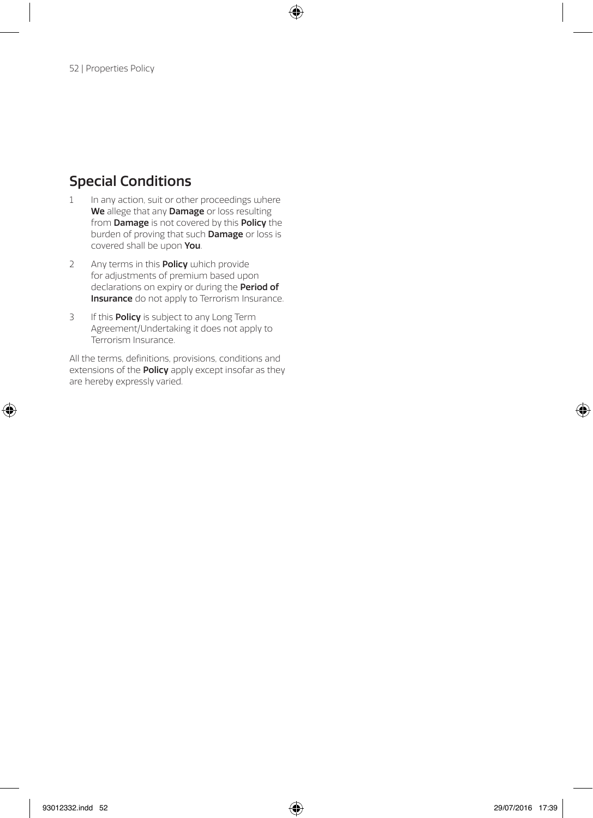## Special Conditions

- 1 In any action, suit or other proceedings where We allege that any **Damage** or loss resulting from **Damage** is not covered by this **Policy** the burden of proving that such Damage or loss is covered shall be upon You.
- 2 Any terms in this **Policy** which provide for adjustments of premium based upon declarations on expiry or during the Period of Insurance do not apply to Terrorism Insurance.
- 3 If this **Policy** is subject to any Long Term Agreement/Undertaking it does not apply to Terrorism Insurance.

All the terms, definitions, provisions, conditions and extensions of the **Policy** apply except insofar as they are hereby expressly varied.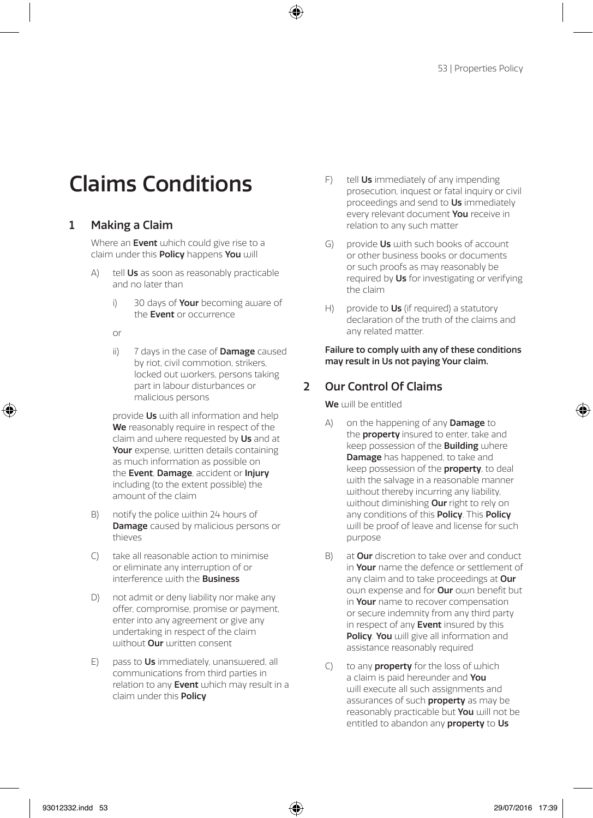# Claims Conditions

### 1 Making a Claim

Where an Event which could give rise to a claim under this **Policy** happens You will

- A) tell **Us** as soon as reasonably practicable and no later than
	- i) 30 days of **Your** becoming aware of the **Event** or occurrence
	- or
	- ii) 7 days in the case of **Damage** caused by riot, civil commotion, strikers, locked out workers, persons taking part in labour disturbances or malicious persons

provide Us with all information and help We reasonably require in respect of the claim and where requested by Us and at Your expense, written details containing as much information as possible on the Event, Damage, accident or Injury including (to the extent possible) the amount of the claim

- B) notify the police within 24 hours of Damage caused by malicious persons or thieves
- C) take all reasonable action to minimise or eliminate any interruption of or interference with the **Business**
- D) not admit or deny liability nor make any offer, compromise, promise or payment, enter into any agreement or give any undertaking in respect of the claim without **Our** written consent
- E) pass to Us immediately, unanswered, all communications from third parties in relation to any Event which may result in a claim under this Policy
- F) tell Us immediately of any impending prosecution, inquest or fatal inquiry or civil proceedings and send to Us immediately every relevant document You receive in relation to any such matter
- $G$  provide  $Us$  with such books of account or other business books or documents or such proofs as may reasonably be required by Us for investigating or verifying the claim
- H) provide to  $Us$  (if required) a statutory declaration of the truth of the claims and any related matter.

#### Failure to comply with any of these conditions may result in Us not paying Your claim.

### 2 Our Control Of Claims

We will be entitled

- A) on the happening of any **Damage** to the **property** insured to enter, take and keep possession of the Building where Damage has happened, to take and keep possession of the **property**, to deal with the salvage in a reasonable manner without thereby incurring any liability, without diminishing **Our** right to rely on any conditions of this **Policy**. This **Policy** will be proof of leave and license for such purpose
- B) at **Our** discretion to take over and conduct in Your name the defence or settlement of any claim and to take proceedings at Our own expense and for **Our** own benefit but in Your name to recover compensation or secure indemnity from any third party in respect of any Event insured by this Policy. You will give all information and assistance reasonably required
- $\bigcap$  to any **property** for the loss of which a claim is paid hereunder and You will execute all such assignments and assurances of such **property** as may be reasonably practicable but You will not be entitled to abandon any **property** to Us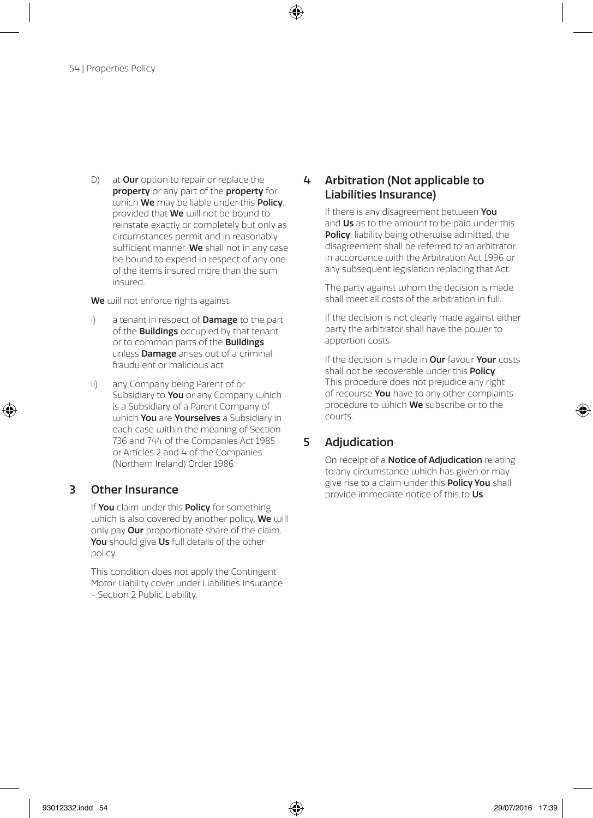D) at **Our** option to repair or replace the property or any part of the property for  $u$ uhich We may be liable under this Policy provided that **We** will not be bound to reinstate exactly or completely but only as circumstances permit and in reasonably sufficient manner. We shall not in any case be bound to expend in respect of any one of the items insured more than the sum insured.

We will not enforce rights against

- i) a tenant in respect of **Damage** to the part of the Buildings occupied by that tenant or to common parts of the **Buildings** unless Damage arises out of a criminal, fraudulent or malicious act
- ii) any Company being Parent of or Subsidiary to You or any Company which is a Subsidiary of a Parent Company of which You are Yourselves a Subsidiary in each case within the meaning of Section 736 and 744 of the Companies Act 1985 or Articles 2 and 4 of the Companies (Northern Ireland) Order 1986.

### 3 Other Insurance

If You claim under this Policy for something which is also covered by another policy, We will only pay Our proportionate share of the claim. You should give Us full details of the other policy.

This condition does not apply the Contingent Motor Liability cover under Liabilities Insurance - Section 2 Public Liability.

### 4 Arbitration (Not applicable to Liabilities Insurance)

If there is any disagreement between You and Us as to the amount to be paid under this Policy, liability being otherwise admitted, the disagreement shall be referred to an arbitrator in accordance with the Arbitration Act 1996 or any subsequent legislation replacing that Act.

The party against whom the decision is made shall meet all costs of the arbitration in full.

If the decision is not clearly made against either party the arbitrator shall have the power to apportion costs.

If the decision is made in **Our** favour **Your** costs shall not be recoverable under this Policy. This procedure does not prejudice any right of recourse You have to any other complaints procedure to which **We** subscribe or to the courts.

### 5 Adjudication

On receipt of a **Notice of Adjudication** relating to any circumstance which has given or may give rise to a claim under this **Policy You** shall provide immediate notice of this to Us.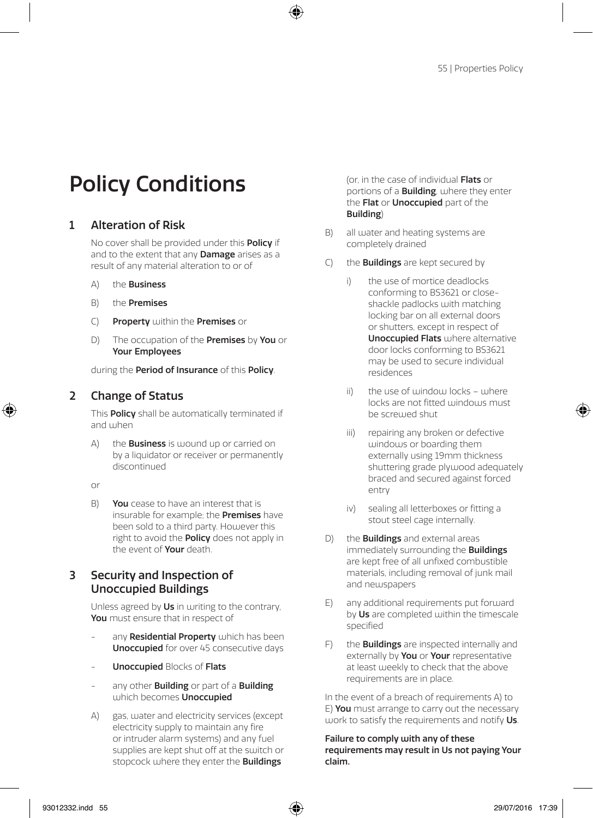# Policy Conditions

### 1 Alteration of Risk

No cover shall be provided under this **Policy** if and to the extent that any **Damage** arises as a result of any material alteration to or of

- A) the Business
- B) the Premises
- C) Property within the Premises or
- D) The occupation of the **Premises** by **You** or Your Employees

during the Period of Insurance of this Policy.

### 2 Change of Status

This Policy shall be automatically terminated if and when

A) the **Business** is wound up or carried on by a liquidator or receiver or permanently discontinued

or

B) You cease to have an interest that is insurable for example; the Premises have been sold to a third party. However this right to avoid the **Policy** does not apply in the event of **Your** death

### 3 Security and Inspection of Unoccupied Buildings

Unless agreed by Us in writing to the contrary, You must ensure that in respect of

- any Residential Property which has been Unoccupied for over 45 consecutive days
- Unoccupied Blocks of Flats
- any other **Building** or part of a **Building** which becomes **Unoccupied**
- A) gas, water and electricity services (except electricity supply to maintain any fire or intruder alarm systems) and any fuel supplies are kept shut off at the switch or stopcock where they enter the **Buildings**

(or, in the case of individual Flats or portions of a **Building**, where they enter the Flat or Unoccupied part of the Building)

- B) all water and heating systems are completely drained
- $(C)$  the **Buildings** are kept secured by
	- the use of mortice deadlocks conforming to BS3621 or closeshackle padlocks with matching locking bar on all external doors or shutters, except in respect of Unoccupied Flats where alternative door locks conforming to BS3621 may be used to secure individual residences
	- ii) the use of window locks where locks are not fitted windows must be screwed shut
	- iii) repairing any broken or defective windows or boarding them externally using 19mm thickness shuttering grade plywood adequately braced and secured against forced entry
	- iv) sealing all letterboxes or fitting a stout steel cage internally.
- D) the **Buildings** and external areas immediately surrounding the **Buildings** are kept free of all unfixed combustible materials, including removal of junk mail and newspapers
- $F$ ) any additional requirements put forward by Us are completed within the timescale specified
- F) the **Buildings** are inspected internally and externally by You or Your representative at least weekly to check that the above requirements are in place.

In the event of a breach of requirements A) to E) **You** must arrange to carry out the necessary work to satisfy the requirements and notify Us.

Failure to comply with any of these requirements may result in Us not paying Your claim.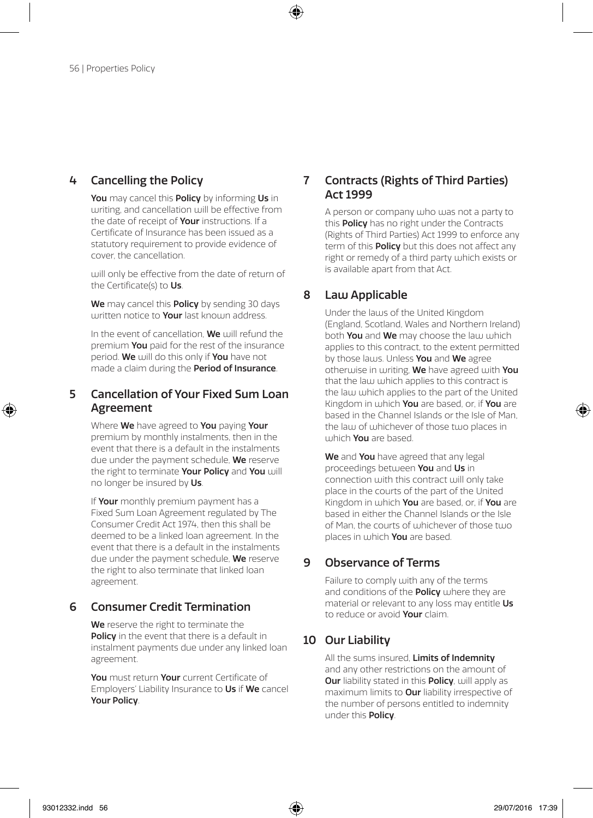### 4 Cancelling the Policy

You may cancel this Policy by informing Us in writing, and cancellation will be effective from the date of receipt of **Your** instructions. If a Certificate of Insurance has been issued as a statutory requirement to provide evidence of cover, the cancellation.

will only be effective from the date of return of the Certificate(s) to Us.

We may cancel this Policy by sending 30 days written notice to **Your** last known address.

In the event of cancellation.  $We$  will refund the premium You paid for the rest of the insurance period. We will do this only if You have not made a claim during the **Period of Insurance**.

#### 5 Cancellation of Your Fixed Sum Loan Agreement

Where We have agreed to You paying Your premium by monthly instalments, then in the event that there is a default in the instalments due under the payment schedule, We reserve the right to terminate Your Policy and You will no longer be insured by Us.

If Your monthly premium payment has a Fixed Sum Loan Agreement regulated by The Consumer Credit Act 1974, then this shall be deemed to be a linked loan agreement. In the event that there is a default in the instalments due under the payment schedule, We reserve the right to also terminate that linked loan agreement.

### 6 Consumer Credit Termination

We reserve the right to terminate the Policy in the event that there is a default in instalment payments due under any linked loan agreement.

You must return Your current Certificate of Employers' Liability Insurance to Us if We cancel Your Policy.

### 7 Contracts (Rights of Third Parties) Act 1999

A person or company who was not a party to this **Policy** has no right under the Contracts (Rights of Third Parties) Act 1999 to enforce any term of this **Policy** but this does not affect any right or remedy of a third party which exists or is available apart from that Act.

### 8 Law Applicable

Under the laws of the United Kingdom (England, Scotland, Wales and Northern Ireland) both You and We may choose the law which applies to this contract, to the extent permitted by those laws. Unless You and We agree otherwise in writing, We have agreed with You that the law which applies to this contract is the law which applies to the part of the United Kingdom in which You are based, or, if You are based in the Channel Islands or the Isle of Man, the law of whichever of those two places in which You are based.

We and You have agreed that any legal proceedings between You and Us in connection with this contract will only take place in the courts of the part of the United Kingdom in which You are based, or, if You are based in either the Channel Islands or the Isle of Man, the courts of whichever of those two places in which **You** are based.

### 9 Observance of Terms

Failure to comply with any of the terms and conditions of the **Policy** where they are material or relevant to any loss may entitle Us to reduce or avoid Your claim.

### 10 Our Liability

All the sums insured. Limits of Indemnity and any other restrictions on the amount of **Our** liability stated in this **Policy**, will apply as maximum limits to Our liability irrespective of the number of persons entitled to indemnity under this Policy.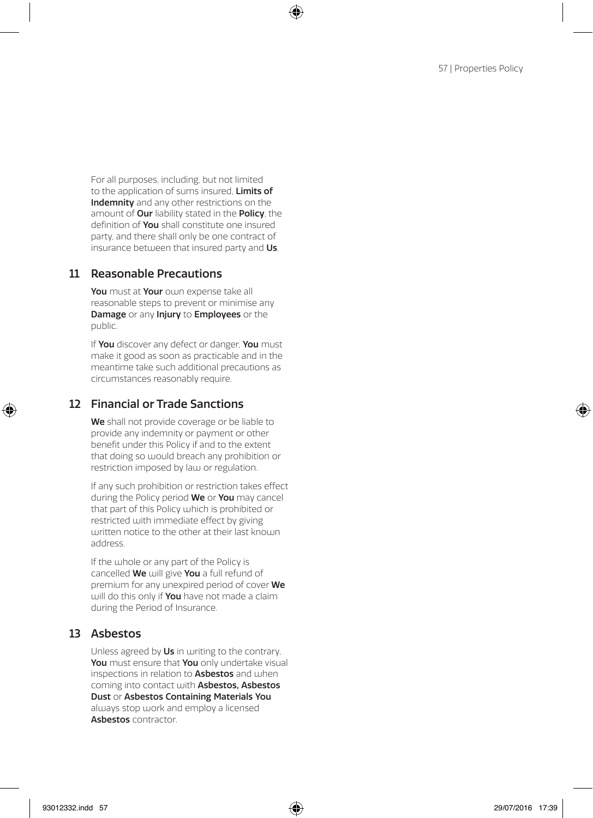For all purposes, including, but not limited to the application of sums insured. Limits of Indemnity and any other restrictions on the amount of **Our** liability stated in the **Policy**, the definition of You shall constitute one insured party, and there shall only be one contract of insurance between that insured party and Us.

#### 11 Reasonable Precautions

You must at Your own expense take all reasonable steps to prevent or minimise any Damage or any Injury to Employees or the public.

If You discover any defect or danger, You must make it good as soon as practicable and in the meantime take such additional precautions as circumstances reasonably require.

### 12 Financial or Trade Sanctions

We shall not provide coverage or be liable to provide any indemnity or payment or other benefit under this Policy if and to the extent that doing so would breach any prohibition or restriction imposed by law or regulation.

If any such prohibition or restriction takes effect during the Policy period We or You may cancel that part of this Policy which is prohibited or restricted with immediate effect by giving uritten notice to the other at their last known address.

If the whole or any part of the Policy is cancelled We will give You a full refund of premium for any unexpired period of cover We will do this only if **You** have not made a claim during the Period of Insurance.

### 13 Asbestos

Unless agreed by Us in writing to the contrary, You must ensure that You only undertake visual inspections in relation to **Asbestos** and when coming into contact with Asbestos, Asbestos Dust or Asbestos Containing Materials You always stop work and employ a licensed Asbestos contractor.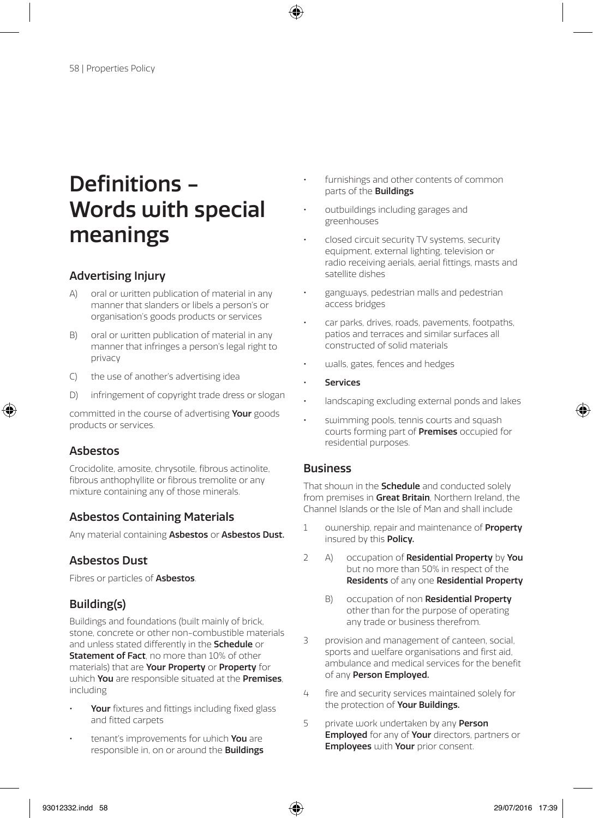# Definitions - Words with special meanings

### Advertising Injury

- A) oral or written publication of material in any manner that slanders or libels a person's or organisation's goods products or services
- B) oral or written publication of material in any manner that infringes a person's legal right to privacy
- C) the use of another's advertising idea
- D) infringement of copyright trade dress or slogan

committed in the course of advertising Your goods products or services.

### Asbestos

Crocidolite, amosite, chrysotile, fibrous actinolite, fibrous anthophyllite or fibrous tremolite or any mixture containing any of those minerals.

### Asbestos Containing Materials

Any material containing Asbestos or Asbestos Dust.

### Asbestos Dust

Fibres or particles of **Asbestos**.

### Building(s)

Buildings and foundations (built mainly of brick, stone, concrete or other non-combustible materials and unless stated differently in the **Schedule** or Statement of Fact, no more than 10% of other materials) that are Your Property or Property for which You are responsible situated at the Premises. including

- Your fixtures and fittings including fixed glass and fitted carpets
- tenant's improvements for which You are responsible in, on or around the Buildings
- furnishings and other contents of common parts of the Buildings
- outbuildings including garages and greenhouses
- closed circuit security TV systems, security equipment, external lighting, television or radio receiving aerials, aerial fittings, masts and satellite dishes
- gangways, pedestrian malls and pedestrian access bridges
- car parks, drives, roads, pavements, footpaths, patios and terraces and similar surfaces all constructed of solid materials
- walls, gates, fences and hedges
- **Services**
- landscaping excluding external ponds and lakes
- swimming pools, tennis courts and squash courts forming part of Premises occupied for residential purposes.

#### Business

That shown in the **Schedule** and conducted solely from premises in Great Britain, Northern Ireland, the Channel Islands or the Isle of Man and shall include

- 1 ownership, repair and maintenance of **Property** insured by this Policy.
- 2 A) occupation of Residential Property by You but no more than 50% in respect of the Residents of any one Residential Property
	- B) occupation of non Residential Property other than for the purpose of operating any trade or business therefrom.
- 3 provision and management of canteen, social, sports and welfare organisations and first aid, ambulance and medical services for the benefit of any Person Employed.
- 4 fire and security services maintained solely for the protection of **Your Buildings.**
- 5 private work undertaken by any Person **Employed** for any of **Your** directors, partners or Employees with Your prior consent.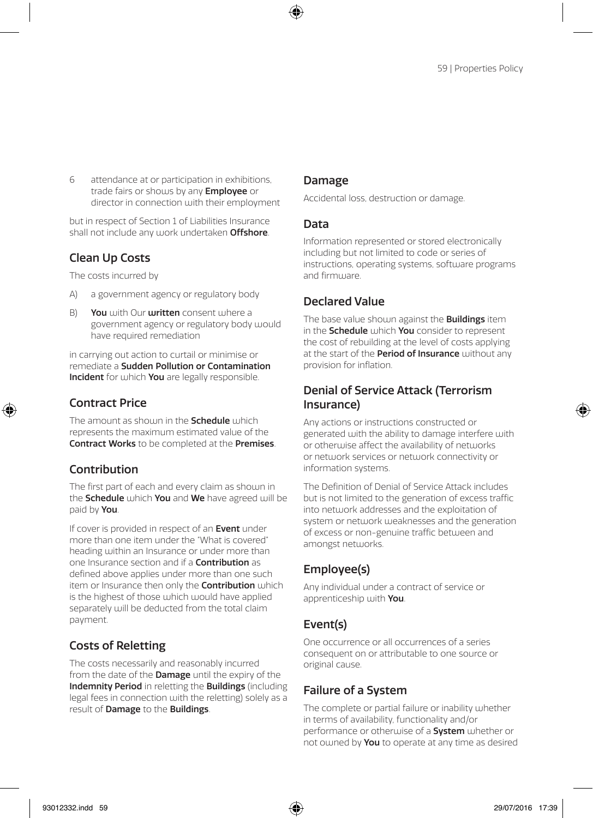6 attendance at or participation in exhibitions, trade fairs or shows by any **Employee** or director in connection with their employment

but in respect of Section 1 of Liabilities Insurance shall not include any work undertaken **Offshore**.

### Clean Up Costs

The costs incurred by

- A) a government agency or regulatory body
- B) You with Our written consent where a government agency or regulatory body would have required remediation

in carrying out action to curtail or minimise or remediate a Sudden Pollution or Contamination Incident for which You are legally responsible.

### Contract Price

The amount as should in the **Schedule** which represents the maximum estimated value of the Contract Works to be completed at the Premises.

### Contribution

The first part of each and every claim as shown in the **Schedule** which You and We have agreed will be paid by You.

If cover is provided in respect of an **Event** under more than one item under the "What is covered" heading within an Insurance or under more than one Insurance section and if a **Contribution** as defined above applies under more than one such item or Insurance then only the **Contribution** which is the highest of those which would have applied separately will be deducted from the total claim payment.

### Costs of Reletting

The costs necessarily and reasonably incurred from the date of the **Damage** until the expiry of the Indemnity Period in reletting the Buildings (including legal fees in connection with the reletting) solely as a result of Damage to the Buildings.

### Damage

Accidental loss, destruction or damage.

#### Data

Information represented or stored electronically including but not limited to code or series of instructions, operating systems, software programs and firmware

### Declared Value

The base value shown against the **Buildings** item in the **Schedule** which **You** consider to represent the cost of rebuilding at the level of costs applying at the start of the **Period of Insurance** without any provision for inflation.

### Denial of Service Attack (Terrorism Insurance)

Any actions or instructions constructed or generated with the ability to damage interfere with or otherwise affect the availability of networks or network services or network connectivity or information systems.

The Definition of Denial of Service Attack includes but is not limited to the generation of excess traffic into network addresses and the exploitation of system or network weaknesses and the generation of excess or non-genuine traffic between and amongst networks.

### Employee(s)

Any individual under a contract of service or apprenticeship with You.

### Event(s)

One occurrence or all occurrences of a series consequent on or attributable to one source or original cause.

### Failure of a System

The complete or partial failure or inability whether in terms of availability, functionality and/or performance or otherwise of a **System** whether or not owned by You to operate at any time as desired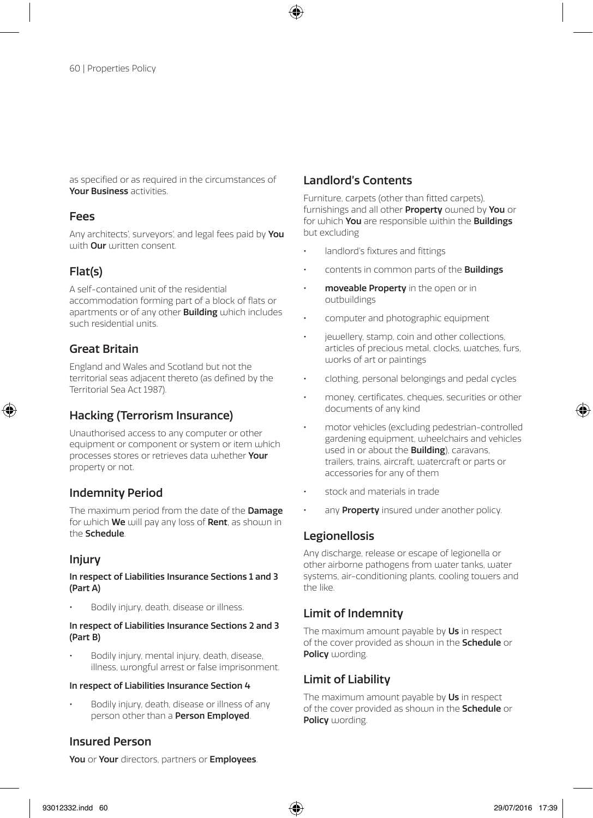as specified or as required in the circumstances of Your Business activities.

#### Fees

Any architects', surveyors', and legal fees paid by You with **Our** written consent.

### Flat(s)

A self-contained unit of the residential accommodation forming part of a block of flats or anartments or of any other **Building** which includes such residential units.

### Great Britain

England and Wales and Scotland but not the territorial seas adjacent thereto (as defined by the Territorial Sea Act 1987).

### Hacking (Terrorism Insurance)

Unauthorised access to any computer or other equipment or component or system or item which processes stores or retrieves data whether Your property or not.

### Indemnity Period

The maximum period from the date of the **Damage** for which **We** will pay any loss of **Rent**, as shown in the Schedule.

### Injury

#### In respect of Liabilities Insurance Sections 1 and 3 (Part A)

• Bodily injury, death, disease or illness.

#### In respect of Liabilities Insurance Sections 2 and 3 (Part B)

• Bodily injury, mental injury, death, disease, illness, wrongful arrest or false imprisonment.

#### In respect of Liabilities Insurance Section 4

• Bodily injury, death, disease or illness of any person other than a Person Employed.

### Insured Person

#### Landlord's Contents

Furniture, carpets (other than fitted carpets), furnishings and all other **Property** owned by **You** or for which You are responsible within the Buildings but excluding

- landlord's fixtures and fittings
- contents in common parts of the **Buildings**
- moveable Property in the open or in outbuildings
- computer and photographic equipment
- jewellery, stamp, coin and other collections, articles of precious metal, clocks, watches, furs, works of art or paintings
- clothing, personal belongings and pedal cycles
- money, certificates, cheques, securities or other documents of any kind
- motor vehicles (excluding pedestrian-controlled gardening equipment, wheelchairs and vehicles used in or about the **Building**), caravans, trailers, trains, aircraft, watercraft or parts or accessories for any of them
- stock and materials in trade
- any **Property** insured under another policy.

### Legionellosis

Any discharge, release or escape of legionella or other airborne pathogens from water tanks, water systems, air-conditioning plants, cooling towers and the like.

### Limit of Indemnity

The maximum amount payable by Us in respect of the cover provided as shown in the Schedule or Policy wording.

### Limit of Liability

The maximum amount payable by Us in respect of the cover provided as should in the **Schedule** or Policy wording.

You or Your directors, partners or Employees.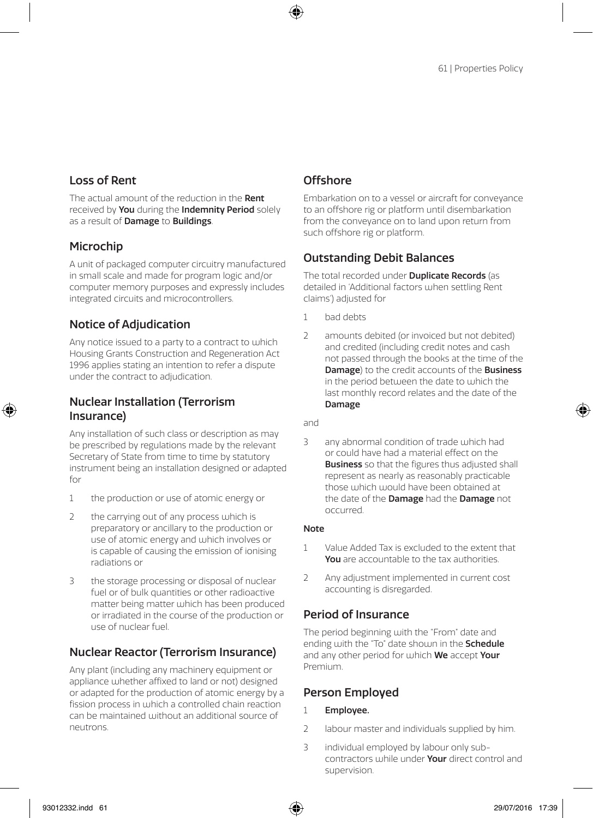### Loss of Rent

The actual amount of the reduction in the Rent received by You during the Indemnity Period solely as a result of Damage to Buildings.

### Microchip

A unit of packaged computer circuitry manufactured in small scale and made for program logic and/or computer memory purposes and expressly includes integrated circuits and microcontrollers.

### Notice of Adjudication

Any notice issued to a party to a contract to which Housing Grants Construction and Regeneration Act 1996 applies stating an intention to refer a dispute under the contract to adjudication.

### Nuclear Installation (Terrorism Insurance)

Any installation of such class or description as may be prescribed by regulations made by the relevant Secretary of State from time to time by statutory instrument being an installation designed or adapted for

- 1 the production or use of atomic energy or
- 2 the carrying out of any process which is preparatory or ancillary to the production or use of atomic energy and which involves or is capable of causing the emission of ionising radiations or
- 3 the storage processing or disposal of nuclear fuel or of bulk quantities or other radioactive matter being matter which has been produced or irradiated in the course of the production or use of nuclear fuel.

### Nuclear Reactor (Terrorism Insurance)

Any plant (including any machinery equipment or appliance whether affixed to land or not) designed or adapted for the production of atomic energy by a fission process in which a controlled chain reaction can be maintained without an additional source of neutrons.

### **Offshore**

Embarkation on to a vessel or aircraft for conveyance to an offshore rig or platform until disembarkation from the conveyance on to land upon return from such offshore rig or platform.

### Outstanding Debit Balances

The total recorded under **Duplicate Records** (as detailed in 'Additional factors when settling Rent claims') adjusted for

- 1 bad debts
- 2 amounts debited (or invoiced but not debited) and credited (including credit notes and cash not passed through the books at the time of the **Damage**) to the credit accounts of the **Business** in the period between the date to which the last monthly record relates and the date of the Damage

and

3 any abnormal condition of trade which had or could have had a material effect on the **Business** so that the figures thus adjusted shall represent as nearly as reasonably practicable those which would have been obtained at the date of the **Damage** had the **Damage** not occurred.

#### Note

- 1 Value Added Tax is excluded to the extent that You are accountable to the tax authorities.
- 2 Any adjustment implemented in current cost accounting is disregarded.

### Period of Insurance

The period beginning with the "From" date and ending with the "To" date shown in the **Schedule** and any other period for which We accept Your Premium.

### Person Employed

- 1 Employee.
- 2 labour master and individuals supplied by him.
- 3 individual employed by labour only subcontractors while under Your direct control and supervision.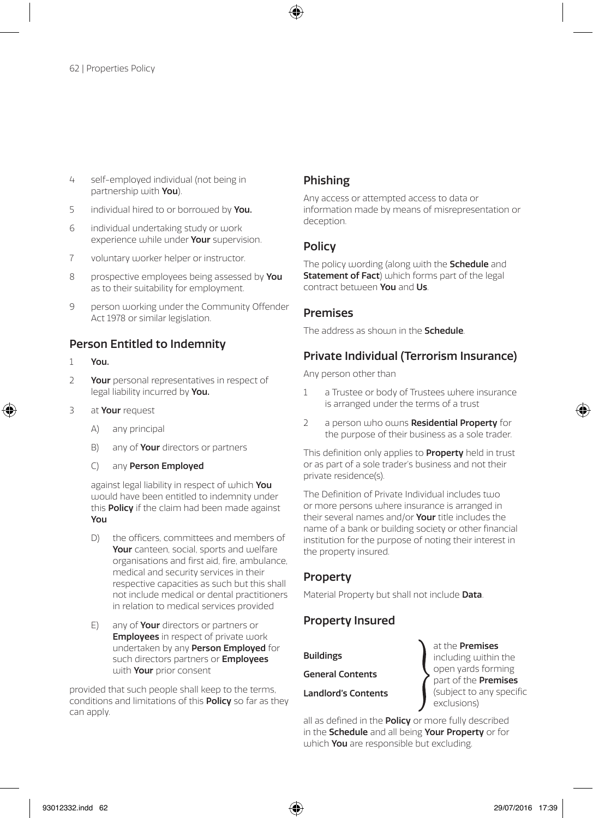- 4 self-employed individual (not being in partnership with You).
- 5 individual hired to or borrowed by You.
- 6 individual undertaking study or work experience while under **Your** supervision.
- 7 voluntary worker helper or instructor.
- 8 prospective employees being assessed by You as to their suitability for employment.
- 9 person working under the Community Offender Act 1978 or similar legislation.

#### Person Entitled to Indemnity

- 1 You.
- 2 Your personal representatives in respect of legal liability incurred by You.
- 3 at Your request
	- A) any principal
	- B) any of **Your** directors or partners
	- C) any Person Employed

against legal liability in respect of which You would have been entitled to indemnity under this **Policy** if the claim had been made against You

- D) the officers, committees and members of Your canteen, social, sports and welfare organisations and first aid, fire, ambulance, medical and security services in their respective capacities as such but this shall not include medical or dental practitioners in relation to medical services provided
- E) any of Your directors or partners or **Employees** in respect of private work undertaken by any Person Employed for such directors partners or **Employees** with **Your** prior consent

provided that such people shall keep to the terms, conditions and limitations of this Policy so far as they can apply.

### Phishing

Any access or attempted access to data or information made by means of misrepresentation or deception.

#### **Policy**

The policy wording (along with the **Schedule** and Statement of Fact) which forms part of the legal contract between You and Us.

#### Premises

The address as shoum in the **Schedule**.

### Private Individual (Terrorism Insurance)

Any person other than

- 1 a Trustee or body of Trustees where insurance is arranged under the terms of a trust
- 2 a person who owns Residential Property for the purpose of their business as a sole trader.

This definition only applies to **Property** held in trust or as part of a sole trader's business and not their private residence(s).

The Definition of Private Individual includes two or more persons where insurance is arranged in their several names and/or **Your** title includes the name of a bank or building society or other financial institution for the purpose of noting their interest in the property insured.

### Property

Material Property but shall not include **Data**.

### Property Insured

Buildings

General Contents

Landlord's Contents

at the Premises including within the open yards forming part of the Premises (subject to any specific exclusions)

all as defined in the **Policy** or more fully described in the Schedule and all being Your Property or for which **You** are responsible but excluding.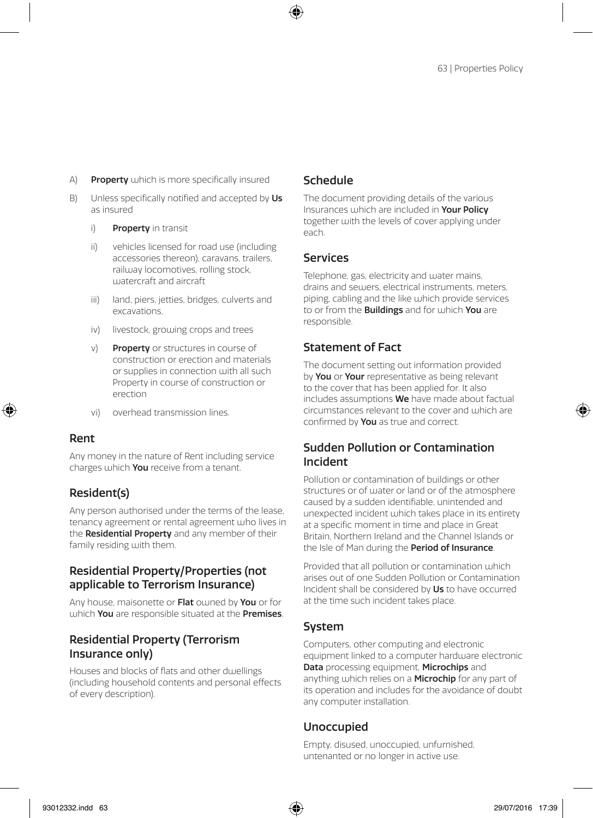- A) Property which is more specifically insured
- B) Unless specifically notified and accepted by Us as insured
	- i) Property in transit
	- ii) vehicles licensed for road use (including accessories thereon), caravans, trailers, railway locomotives, rolling stock, watercraft and aircraft
	- iii) land, piers, jetties, bridges, culverts and excavations,
	- iv) livestock, growing crops and trees
	- v) Property or structures in course of construction or erection and materials or supplies in connection with all such Property in course of construction or erection
	- vi) overhead transmission lines.

#### Rent

Any money in the nature of Rent including service charges which **You** receive from a tenant.

### Resident(s)

Any person authorised under the terms of the lease, tenancy agreement or rental agreement who lives in the **Residential Property** and any member of their family residing with them.

### Residential Property/Properties (not applicable to Terrorism Insurance)

Any house, maisonette or Flat owned by You or for which You are responsible situated at the Premises.

### Residential Property (Terrorism Insurance only)

Houses and blocks of flats and other dwellings (including household contents and personal effects of every description).

### Schedule

The document providing details of the various Insurances which are included in Your Policy together with the levels of cover applying under each.

### Services

Telephone, gas, electricity and water mains drains and sewers, electrical instruments, meters, piping, cabling and the like which provide services to or from the **Buildings** and for which You are responsible.

### Statement of Fact

The document setting out information provided by You or Your representative as being relevant to the cover that has been applied for. It also includes assumptions We have made about factual circumstances relevant to the cover and which are confirmed by You as true and correct.

### Sudden Pollution or Contamination Incident

Pollution or contamination of buildings or other structures or of water or land or of the atmosphere caused by a sudden identifiable, unintended and unexpected incident which takes place in its entirety at a specific moment in time and place in Great Britain, Northern Ireland and the Channel Islands or the Isle of Man during the **Period of Insurance**.

Provided that all pollution or contamination which arises out of one Sudden Pollution or Contamination Incident shall be considered by Us to have occurred at the time such incident takes place.

### System

Computers, other computing and electronic equipment linked to a computer hardware electronic Data processing equipment, Microchips and anything which relies on a **Microchip** for any part of its operation and includes for the avoidance of doubt any computer installation.

### Unoccupied

Empty, disused, unoccupied, unfurnished, untenanted or no longer in active use.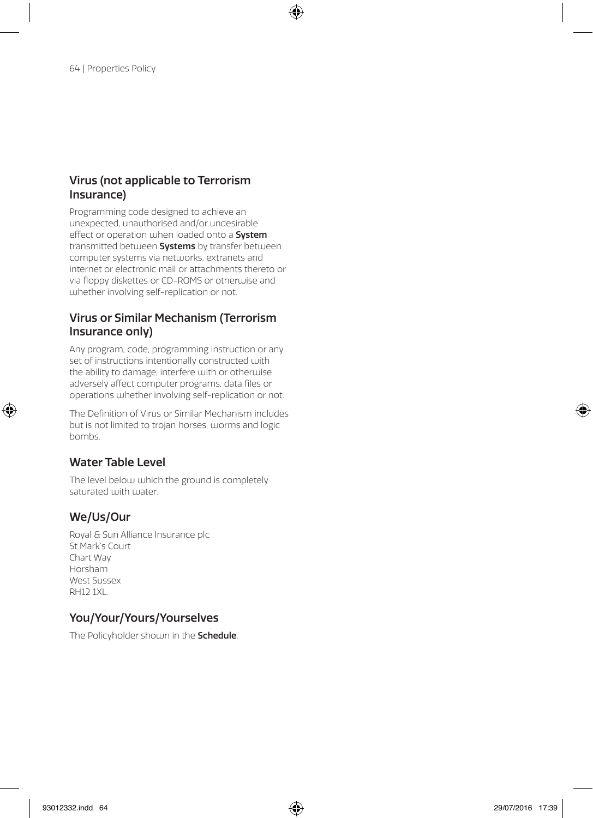### Virus (not applicable to Terrorism Insurance)

Programming code designed to achieve an unexpected, unauthorised and/or undesirable effect or operation when loaded onto a **System** transmitted between **Systems** by transfer between computer systems via networks, extranets and internet or electronic mail or attachments thereto or via floppy diskettes or CD-ROMS or otherwise and whether involving self-replication or not.

### Virus or Similar Mechanism (Terrorism Insurance only)

Any program, code, programming instruction or any set of instructions intentionally constructed with the ability to damage, interfere with or otherwise adversely affect computer programs, data files or operations whether involving self-replication or not.

The Definition of Virus or Similar Mechanism includes but is not limited to trojan horses, worms and logic bombs.

### Water Table Level

The level below which the ground is completely saturated with water.

### We/Us/Our

Royal & Sun Alliance Insurance plc St Mark's Court Chart Way Horsham West Sussex RH12 1XL.

### You/Your/Yours/Yourselves

The Policyholder shown in the **Schedule**.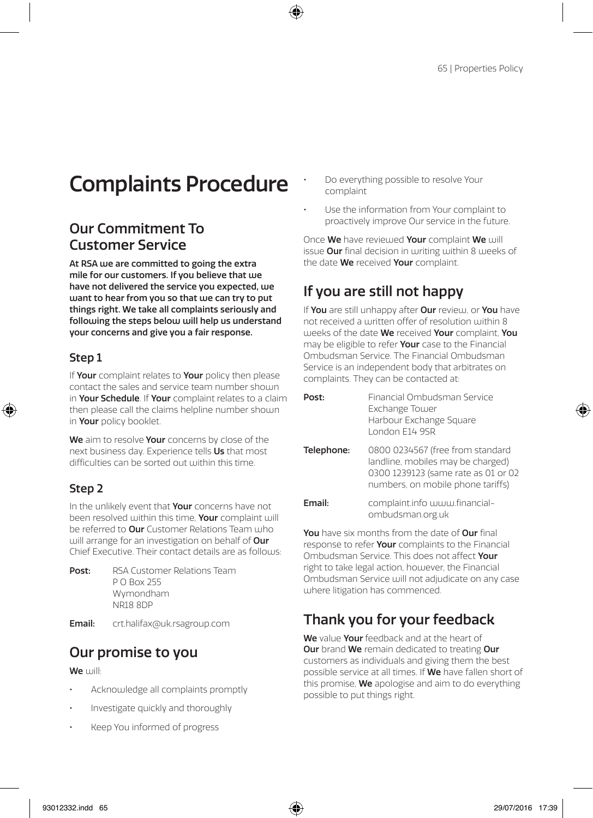# Complaints Procedure

## Our Commitment To Customer Service

At RSA we are committed to going the extra mile for our customers. If you believe that we have not delivered the service you expected, we want to hear from you so that we can try to put things right. We take all complaints seriously and following the steps below will help us understand your concerns and give you a fair response.

### Step 1

If Your complaint relates to Your policy then please contact the sales and service team number should in Your Schedule. If Your complaint relates to a claim then please call the claims helpline number should in Your policy booklet.

We aim to resolve Your concerns by close of the next business day. Experience tells Us that most difficulties can be sorted out within this time.

### Step 2

In the unlikely event that Your concerns have not been resolved within this time. Your complaint will be referred to **Our** Customer Relations Team who will arrange for an investigation on behalf of **Our** Chief Executive. Their contact details are as follows:

| RSA Customer Relations Team |
|-----------------------------|
|                             |
|                             |
|                             |
|                             |

Email: crt.halifax@uk.rsagroup.com

### Our promise to you

We will:

- Acknowledge all complaints promptly
- Investigate quickly and thoroughly
- Keep You informed of progress
- Do everything possible to resolve Your complaint
- Use the information from Your complaint to proactively improve Our service in the future.

Once We have reviewed Your complaint We will issue Our final decision in writing within 8 weeks of the date We received Your complaint.

## If you are still not happy

If You are still unhappy after Our review, or You have not received a written offer of resolution within 8 weeks of the date We received Your complaint, You may be eligible to refer Your case to the Financial Ombudsman Service. The Financial Ombudsman Service is an independent body that arbitrates on complaints. They can be contacted at:

| Post:      | Financial Ombudsman Service<br>Exchange Tower<br>Harbour Exchange Square<br>London F14 9SR                                                        |
|------------|---------------------------------------------------------------------------------------------------------------------------------------------------|
| Telephone: | 0800 0234567 (free from standard<br>landline, mobiles may be charged)<br>0300 1239123 (same rate as 01 or 02<br>numbers, on mobile phone tariffs) |
| Fmail:     | complaint.info www.financial-<br>ombudsman.org.uk                                                                                                 |

You have six months from the date of Our final response to refer **Your** complaints to the Financial Ombudsman Service. This does not affect Your right to take legal action, however, the Financial Ombudsman Service will not adjudicate on any case where litigation has commenced.

## Thank you for your feedback

We value Your feedback and at the heart of Our brand We remain dedicated to treating Our customers as individuals and giving them the best possible service at all times. If We have fallen short of this promise, **We** apologise and aim to do everything possible to put things right.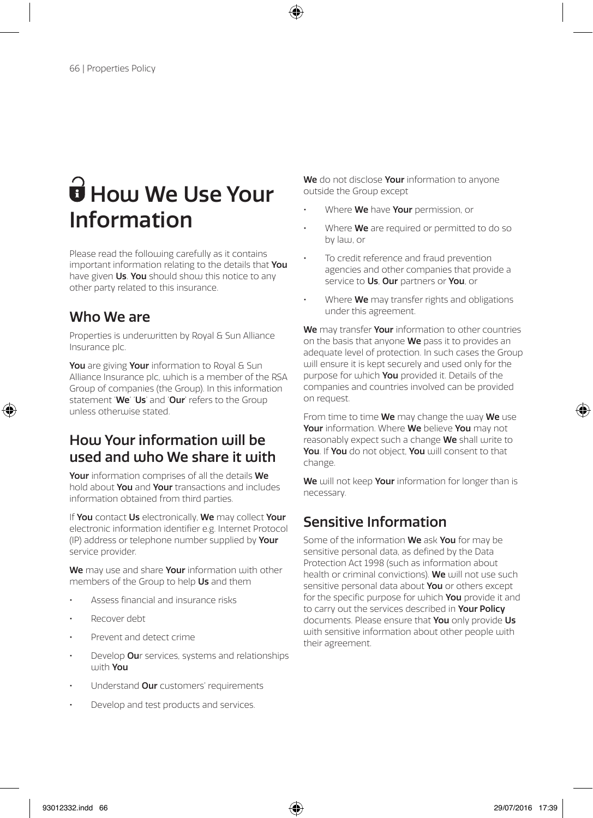# $\mathbf{\hat{\mathbf{\Theta}}}$  How We Use Your Information

Please read the following carefully as it contains important information relating to the details that You have given Us. You should show this notice to any other party related to this insurance.

## Who We are

Properties is underwritten by Royal & Sun Alliance Insurance plc.

You are giving Your information to Royal & Sun Alliance Insurance plc, which is a member of the RSA Group of companies (the Group). In this information statement 'We' 'Us' and 'Our' refers to the Group unless otherwise stated.

## How Your information will be used and who We share it with

Your information comprises of all the details We hold about You and Your transactions and includes information obtained from third parties.

If You contact Us electronically, We may collect Your electronic information identifier e.g. Internet Protocol (IP) address or telephone number supplied by Your service provider.

We may use and share Your information with other members of the Group to help Us and them

- Assess financial and insurance risks
- Recover debt
- Prevent and detect crime
- Develop Our services, systems and relationships with You
- Understand **Our** customers' requirements
- Develop and test products and services.

We do not disclose Your information to anyone outside the Group except

- Where We have Your permission, or
- Where **We** are required or permitted to do so by law, or
- To credit reference and fraud prevention agencies and other companies that provide a service to Us, Our partners or You, or
- Where **We** may transfer rights and obligations under this agreement.

We may transfer Your information to other countries on the basis that anyone We pass it to provides an adequate level of protection. In such cases the Group will ensure it is kept securely and used only for the purpose for which **You** provided it. Details of the companies and countries involved can be provided on request.

From time to time We may change the way We use Your information. Where We believe You may not reasonably expect such a change We shall write to You. If You do not object. You will consent to that change.

We will not keep Your information for longer than is necessary.

## Sensitive Information

Some of the information We ask You for may be sensitive personal data, as defined by the Data Protection Act 1998 (such as information about health or criminal convictions). We will not use such sensitive personal data about You or others except for the specific purpose for which You provide it and to carry out the services described in Your Policy documents. Please ensure that You only provide Us with sensitive information about other people with their agreement.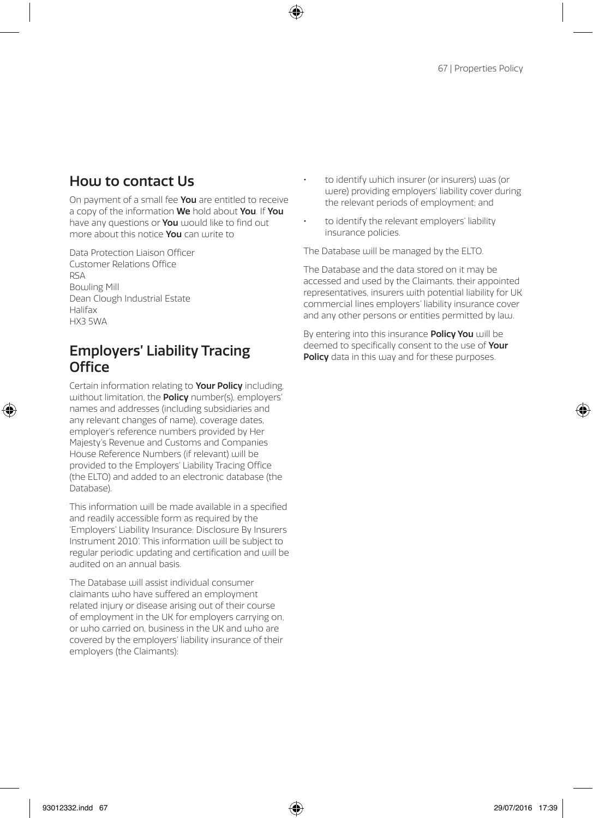## How to contact Us

On payment of a small fee **You** are entitled to receive a copy of the information We hold about You. If You have any questions or **You** would like to find out more about this notice **You** can write to

Data Protection Liaison Officer Customer Relations Office RSA Bowling Mill Dean Clough Industrial Estate Halifax HX3 5WA

### Employers' Liability Tracing **Office**

Certain information relating to Your Policy including, without limitation, the **Policy** number(s), employers' names and addresses (including subsidiaries and any relevant changes of name), coverage dates, employer's reference numbers provided by Her Majesty's Revenue and Customs and Companies House Reference Numbers (if relevant) will be provided to the Employers' Liability Tracing Office (the ELTO) and added to an electronic database (the Database).

This information will be made available in a specified and readily accessible form as required by the 'Employers' Liability Insurance: Disclosure By Insurers Instrument 2010'. This information will be subject to regular periodic updating and certification and will be audited on an annual basis.

The Database will assist individual consumer claimants who have suffered an employment related injury or disease arising out of their course of employment in the UK for employers carrying on, or who carried on, business in the UK and who are covered by the employers' liability insurance of their employers (the Claimants):

- to identify which insurer (or insurers) was (or were) providing employers' liability cover during the relevant periods of employment; and
- to identify the relevant employers' liability insurance policies.

The Database will be managed by the ELTO.

The Database and the data stored on it may be accessed and used by the Claimants, their appointed representatives, insurers with potential liability for UK commercial lines employers' liability insurance cover and any other persons or entities permitted by law.

By entering into this insurance **Policy You** will be deemed to specifically consent to the use of **Your** Policy data in this way and for these purposes.